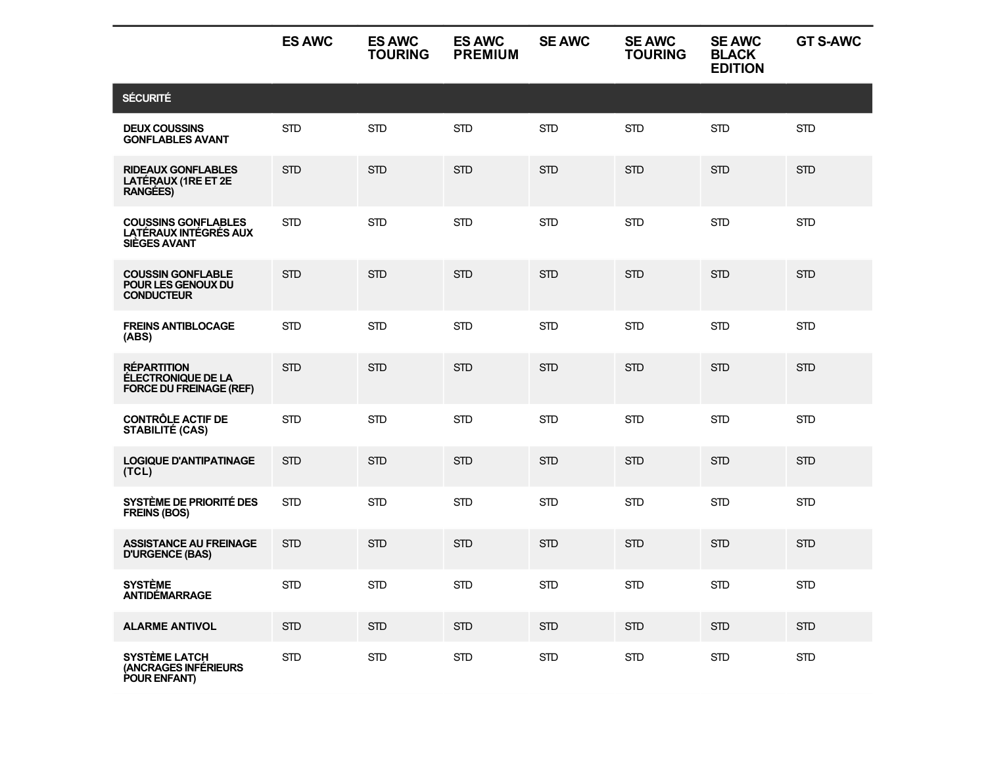|                                                                                   | <b>ES AWC</b> | <b>ES AWC</b><br><b>TOURING</b> | <b>ES AWC</b><br><b>PREMIUM</b> | <b>SE AWC</b> | <b>SE AWC</b><br><b>TOURING</b> | <b>SE AWC</b><br><b>BLACK</b><br><b>EDITION</b> | <b>GT S-AWC</b> |
|-----------------------------------------------------------------------------------|---------------|---------------------------------|---------------------------------|---------------|---------------------------------|-------------------------------------------------|-----------------|
| <b>SÉCURITÉ</b>                                                                   |               |                                 |                                 |               |                                 |                                                 |                 |
| <b>DEUX COUSSINS</b><br><b>GONFLABLES AVANT</b>                                   | <b>STD</b>    | <b>STD</b>                      | <b>STD</b>                      | <b>STD</b>    | <b>STD</b>                      | <b>STD</b>                                      | <b>STD</b>      |
| <b>RIDEAUX GONFLABLES</b><br>LATÉRAUX (1RE ET 2E<br><b>RANGÉES)</b>               | <b>STD</b>    | <b>STD</b>                      | <b>STD</b>                      | <b>STD</b>    | <b>STD</b>                      | <b>STD</b>                                      | <b>STD</b>      |
| <b>COUSSINS GONFLABLES</b><br><b>LATÉRAUX INTÉGRÉS AUX</b><br><b>SIÈGES AVANT</b> | <b>STD</b>    | <b>STD</b>                      | <b>STD</b>                      | <b>STD</b>    | <b>STD</b>                      | <b>STD</b>                                      | <b>STD</b>      |
| <b>COUSSIN GONFLABLE</b><br>POUR LES GENOUX DU<br><b>CONDUCTEUR</b>               | <b>STD</b>    | <b>STD</b>                      | <b>STD</b>                      | <b>STD</b>    | <b>STD</b>                      | <b>STD</b>                                      | <b>STD</b>      |
| <b>FREINS ANTIBLOCAGE</b><br>(ABS)                                                | <b>STD</b>    | <b>STD</b>                      | <b>STD</b>                      | <b>STD</b>    | <b>STD</b>                      | <b>STD</b>                                      | <b>STD</b>      |
| <b>RÉPARTITION</b><br>ÉLECTRONIQUE DE LA<br><b>FORCE DU FREINAGE (REF)</b>        | <b>STD</b>    | <b>STD</b>                      | <b>STD</b>                      | <b>STD</b>    | <b>STD</b>                      | <b>STD</b>                                      | <b>STD</b>      |
| <b>CONTRÔLE ACTIF DE</b><br><b>STABILITÉ (CAS)</b>                                | <b>STD</b>    | <b>STD</b>                      | <b>STD</b>                      | <b>STD</b>    | <b>STD</b>                      | <b>STD</b>                                      | <b>STD</b>      |
| <b>LOGIQUE D'ANTIPATINAGE</b><br>(TCL)                                            | <b>STD</b>    | <b>STD</b>                      | <b>STD</b>                      | <b>STD</b>    | <b>STD</b>                      | <b>STD</b>                                      | <b>STD</b>      |
| SYSTÈME DE PRIORITÉ DES<br><b>FREINS (BOS)</b>                                    | <b>STD</b>    | <b>STD</b>                      | <b>STD</b>                      | <b>STD</b>    | <b>STD</b>                      | <b>STD</b>                                      | <b>STD</b>      |
| <b>ASSISTANCE AU FREINAGE</b><br><b>D'URGENCE (BAS)</b>                           | <b>STD</b>    | <b>STD</b>                      | <b>STD</b>                      | <b>STD</b>    | <b>STD</b>                      | <b>STD</b>                                      | <b>STD</b>      |
| <b>SYSTÈME</b><br><b>ANTIDÉMARRAGE</b>                                            | <b>STD</b>    | <b>STD</b>                      | <b>STD</b>                      | <b>STD</b>    | <b>STD</b>                      | <b>STD</b>                                      | <b>STD</b>      |
| <b>ALARME ANTIVOL</b>                                                             | STD           | <b>STD</b>                      | <b>STD</b>                      | <b>STD</b>    | <b>STD</b>                      | <b>STD</b>                                      | <b>STD</b>      |
| <b>SYSTÈME LATCH</b><br>(ANCRAGES INFÉRIEURS<br>POUR ENFANT)                      | <b>STD</b>    | <b>STD</b>                      | <b>STD</b>                      | <b>STD</b>    | <b>STD</b>                      | $\mbox{STD}$                                    | $\mbox{STD}$    |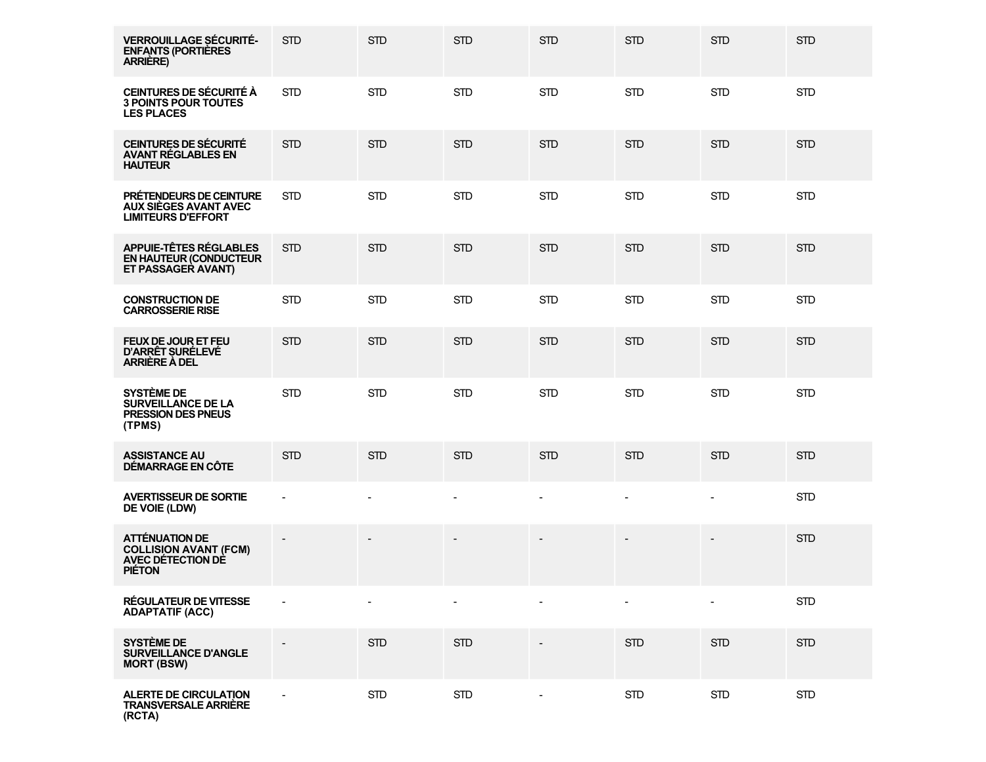| <b>VERROUILLAGE SÉCURITÉ-</b><br><b>ENFANTS (PORTIÈRES</b><br><b>ARRIÈRE)</b>               | <b>STD</b>     | <b>STD</b> | <b>STD</b>               | <b>STD</b>               | <b>STD</b>               | <b>STD</b>               | <b>STD</b>   |
|---------------------------------------------------------------------------------------------|----------------|------------|--------------------------|--------------------------|--------------------------|--------------------------|--------------|
| CEINTURES DE SÉCURITÉ À<br><b>3 POINTS POUR TOUTES</b><br><b>LES PLACES</b>                 | <b>STD</b>     | <b>STD</b> | <b>STD</b>               | <b>STD</b>               | <b>STD</b>               | <b>STD</b>               | <b>STD</b>   |
| <b>CEINTURES DE SÉCURITÉ</b><br><b>AVANT RÉGLABLES EN</b><br><b>HAUTEUR</b>                 | <b>STD</b>     | <b>STD</b> | <b>STD</b>               | <b>STD</b>               | <b>STD</b>               | <b>STD</b>               | <b>STD</b>   |
| PRÉTENDEURS DE CEINTURE<br>AUX SIÈGES AVANT AVEC<br><b>LIMITEURS D'EFFORT</b>               | <b>STD</b>     | <b>STD</b> | <b>STD</b>               | <b>STD</b>               | <b>STD</b>               | <b>STD</b>               | <b>STD</b>   |
| APPUIE-TÊTES RÉGLABLES<br><b>EN HAUTEUR (CONDUCTEUR</b><br>ET PASSAGER AVANT)               | <b>STD</b>     | <b>STD</b> | <b>STD</b>               | <b>STD</b>               | <b>STD</b>               | <b>STD</b>               | <b>STD</b>   |
| <b>CONSTRUCTION DE</b><br><b>CARROSSERIE RISE</b>                                           | <b>STD</b>     | <b>STD</b> | <b>STD</b>               | <b>STD</b>               | <b>STD</b>               | <b>STD</b>               | <b>STD</b>   |
| <b>FEUX DE JOUR ET FEU</b><br>D'ARRÊT SURÉLEVÉ<br>ARRIÈRE À DEL                             | <b>STD</b>     | <b>STD</b> | <b>STD</b>               | <b>STD</b>               | <b>STD</b>               | <b>STD</b>               | <b>STD</b>   |
| <b>SYSTÈME DE</b><br><b>SURVEILLANCE DE LA</b><br><b>PRESSION DES PNEUS</b><br>(TPMS)       | <b>STD</b>     | <b>STD</b> | <b>STD</b>               | <b>STD</b>               | <b>STD</b>               | <b>STD</b>               | <b>STD</b>   |
| <b>ASSISTANCE AU</b><br>DÉMARRAGE EN CÔTE                                                   | <b>STD</b>     | <b>STD</b> | <b>STD</b>               | <b>STD</b>               | <b>STD</b>               | <b>STD</b>               | <b>STD</b>   |
| <b>AVERTISSEUR DE SORTIE</b><br>DE VOIE (LDW)                                               | $\blacksquare$ |            | $\sim$                   | $\blacksquare$           | $\blacksquare$           | $\overline{\phantom{a}}$ | <b>STD</b>   |
| <b>ATTÉNUATION DE</b><br><b>COLLISION AVANT (FCM)</b><br>AVEC DÉTECTION DE<br><b>PIÉTON</b> |                |            | $\overline{\phantom{a}}$ | $\overline{\phantom{a}}$ | $\overline{\phantom{a}}$ | $\overline{\phantom{a}}$ | <b>STD</b>   |
| <b>RÉGULATEUR DE VITESSE</b><br><b>ADAPTATIF (ACC)</b>                                      |                |            |                          |                          |                          |                          | <b>STD</b>   |
| <b>SYSTÈME DE</b><br><b>SURVEILLANCE D'ANGLE</b><br><b>MORT (BSW)</b>                       |                | <b>STD</b> | <b>STD</b>               |                          | <b>STD</b>               | <b>STD</b>               | <b>STD</b>   |
| <b>ALERTE DE CIRCULATION</b><br><b>TRANSVERSALE ARRIÈRE</b><br>(RCTA)                       |                | <b>STD</b> | <b>STD</b>               | $\overline{\phantom{a}}$ | <b>STD</b>               | <b>STD</b>               | $\mbox{STD}$ |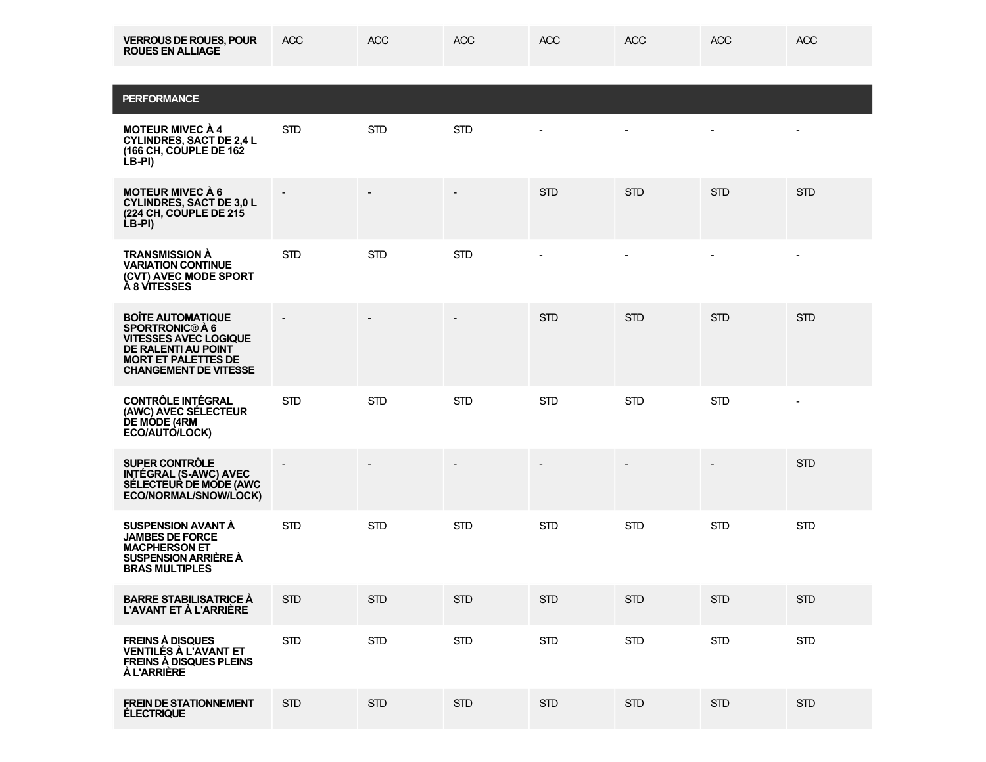| <b>VERROUS DE ROUES, POUR</b><br><b>ROUES EN ALLIAGE</b>                                                                                                                       | <b>ACC</b> | <b>ACC</b> | <b>ACC</b>               | <b>ACC</b> | <b>ACC</b>     | <b>ACC</b>     | <b>ACC</b>     |
|--------------------------------------------------------------------------------------------------------------------------------------------------------------------------------|------------|------------|--------------------------|------------|----------------|----------------|----------------|
| <b>PERFORMANCE</b>                                                                                                                                                             |            |            |                          |            |                |                |                |
| <b>MOTEUR MIVEC À 4</b><br><b>CYLINDRES, SACT DE 2,4 L</b><br>(166 CH, COUPLE DE 162<br>LB-PI)                                                                                 | <b>STD</b> | <b>STD</b> | <b>STD</b>               |            |                |                |                |
| <b>MOTEUR MIVEC À 6</b><br><b>CYLINDRES, SACT DE 3,0 L</b><br>(224 CH, COUPLE DE 215<br>LB-PI)                                                                                 |            |            | $\overline{\phantom{a}}$ | <b>STD</b> | <b>STD</b>     | <b>STD</b>     | <b>STD</b>     |
| <b>TRANSMISSION À</b><br><b>VARIATION CONTINUE</b><br>(CVT) AVEC MODE SPORT<br><b>A 8 VITESSES</b>                                                                             | <b>STD</b> | <b>STD</b> | <b>STD</b>               |            | $\blacksquare$ | $\blacksquare$ | $\blacksquare$ |
| <b>BOÎTE AUTOMATIQUE</b><br><b>SPORTRONIC® À 6</b><br><b>VITESSES AVEC LOGIQUE</b><br><b>DE RALENTI AU POINT</b><br><b>MORT ET PALETTES DE</b><br><b>CHANGEMENT DE VITESSE</b> |            |            |                          | <b>STD</b> | <b>STD</b>     | <b>STD</b>     | <b>STD</b>     |
| <b>CONTRÔLE INTÉGRAL</b><br>(AWC) AVEC SÉLECTEUR<br><b>DE MÓDE (4RM</b><br>ECO/AUTO/LOCK)                                                                                      | <b>STD</b> | <b>STD</b> | <b>STD</b>               | <b>STD</b> | <b>STD</b>     | <b>STD</b>     |                |
| <b>SUPER CONTRÔLE</b><br><b>INTÉGRAL (S-AWC) AVEC</b><br>SÉLECTEUR DE MODE (AWC<br>ECO/NORMAL/SNOW/LOCK)                                                                       |            |            | $\overline{\phantom{0}}$ |            |                |                | <b>STD</b>     |

| <b>SUSPENSION AVANT A</b><br><b>JAMBES DE FORCE</b><br><b>MACPHERSON ET</b><br><b>SUSPENSION ARRIERE A</b><br><b>BRAS MULTIPLES</b> | <b>STD</b> | <b>STD</b> | <b>STD</b> | <b>STD</b> | <b>STD</b> | <b>STD</b> | <b>STD</b> |
|-------------------------------------------------------------------------------------------------------------------------------------|------------|------------|------------|------------|------------|------------|------------|
| <b>BARRE STABILISATRICE A</b><br><b>L'AVANT ET À L'ARRIÈRE</b>                                                                      | <b>STD</b> | <b>STD</b> | <b>STD</b> | <b>STD</b> | <b>STD</b> | <b>STD</b> | <b>STD</b> |
| <b>FREINS A DISQUES</b><br><b>VENTILES A L'AVANT ET</b><br><b>FREINS A DISQUES PLEINS</b><br><b>AL'ARRIERE</b>                      | <b>STD</b> | <b>STD</b> | <b>STD</b> | <b>STD</b> | <b>STD</b> | <b>STD</b> | <b>STD</b> |
| <b>FREIN DE STATIONNEMENT</b><br><b>ÉLECTRIQUE</b>                                                                                  | <b>STD</b> | <b>STD</b> | <b>STD</b> | <b>STD</b> | <b>STD</b> | <b>STD</b> | <b>STD</b> |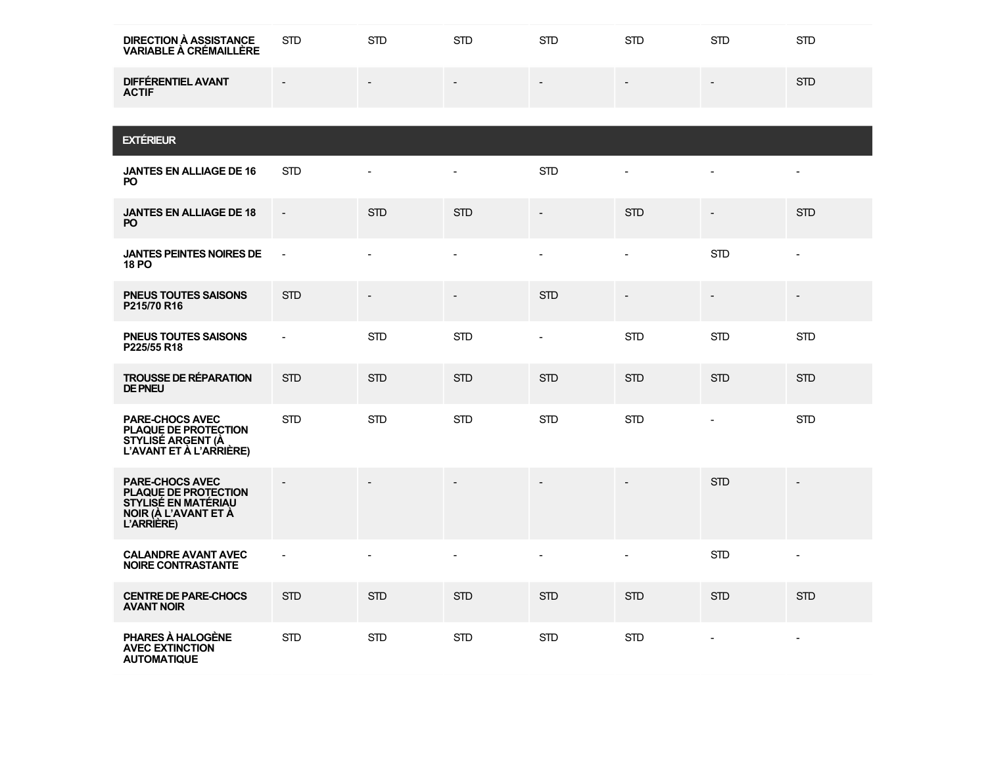| <b>DIRECTION À ASSISTANCE</b><br><b>VARIABLE À CRÉMAILLÈRE</b>                                              | <b>STD</b>               | <b>STD</b>     | <b>STD</b>     | <b>STD</b>               | <b>STD</b>     | <b>STD</b>               | <b>STD</b>               |
|-------------------------------------------------------------------------------------------------------------|--------------------------|----------------|----------------|--------------------------|----------------|--------------------------|--------------------------|
| <b>DIFFÉRENTIEL AVANT</b><br><b>ACTIF</b>                                                                   | $\overline{\phantom{a}}$ |                |                |                          |                |                          | <b>STD</b>               |
|                                                                                                             |                          |                |                |                          |                |                          |                          |
| <b>EXTÉRIEUR</b>                                                                                            |                          |                |                |                          |                |                          |                          |
| <b>JANTES EN ALLIAGE DE 16</b><br>PO.                                                                       | <b>STD</b>               | $\overline{a}$ | $\blacksquare$ | <b>STD</b>               | $\mathbf{r}$   | $\blacksquare$           | $\overline{\phantom{a}}$ |
| <b>JANTES EN ALLIAGE DE 18</b><br>PO.                                                                       | $\overline{\phantom{a}}$ | <b>STD</b>     | <b>STD</b>     | $\overline{\phantom{a}}$ | <b>STD</b>     | $\overline{\phantom{a}}$ | <b>STD</b>               |
| <b>JANTES PEINTES NOIRES DE</b><br><b>18 PO</b>                                                             | $\bar{\phantom{a}}$      | $\overline{a}$ | $\overline{a}$ | $\overline{a}$           | $\blacksquare$ | <b>STD</b>               | $\overline{a}$           |
| <b>PNEUS TOUTES SAISONS</b><br>P215/70 R16                                                                  | <b>STD</b>               |                |                | <b>STD</b>               |                |                          |                          |
| <b>PNEUS TOUTES SAISONS</b><br>P225/55 R18                                                                  | $\blacksquare$           | <b>STD</b>     | <b>STD</b>     | ÷,                       | <b>STD</b>     | <b>STD</b>               | <b>STD</b>               |
| <b>TROUSSE DE RÉPARATION</b><br><b>DE PNEU</b>                                                              | <b>STD</b>               | <b>STD</b>     | <b>STD</b>     | <b>STD</b>               | <b>STD</b>     | <b>STD</b>               | <b>STD</b>               |
| <b>PARE-CHOCS AVEC</b><br>PLAQUE DE PROTECTION<br><b>STYLISÉ ARGENT (À</b><br>L'AVANT ET À L'ARRIÈRE)       | <b>STD</b>               | <b>STD</b>     | <b>STD</b>     | <b>STD</b>               | <b>STD</b>     | $\Box$                   | <b>STD</b>               |
| PARE-CHOCS AVEC<br>PLAQUE DE PROTECTION<br><b>STYLISE EN MATÉRIAU</b><br>NOIR (À L'AVANT ET À<br>L'ARRIÈRE) |                          |                |                |                          |                | <b>STD</b>               |                          |
| <b>CALANDRE AVANT AVEC</b><br><b>NOIRE CONTRASTANTE</b>                                                     | $\blacksquare$           | $\overline{a}$ | $\overline{a}$ | $\overline{a}$           | $\overline{a}$ | <b>STD</b>               | $\overline{a}$           |
| <b>CENTRE DE PARE-CHOCS</b><br><b>AVANT NOIR</b>                                                            | <b>STD</b>               | <b>STD</b>     | <b>STD</b>     | <b>STD</b>               | <b>STD</b>     | <b>STD</b>               | <b>STD</b>               |
| PHARES À HALOGÈNE<br><b>AVEC EXTINCTION</b><br><b>AUTOMATIQUE</b>                                           | <b>STD</b>               | <b>STD</b>     | <b>STD</b>     | <b>STD</b>               | <b>STD</b>     | $\blacksquare$           | $\overline{\phantom{a}}$ |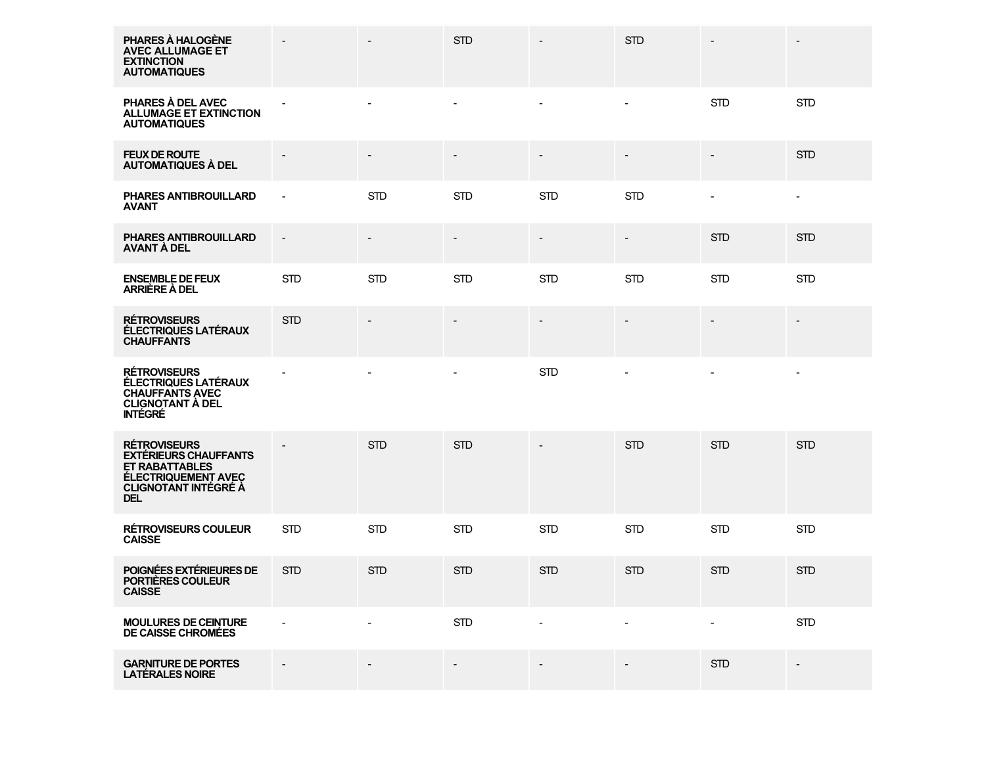| PHARES À HALOGÈNE<br><b>AVEC ALLUMAGE ET</b><br><b>EXTINCTION</b><br><b>AUTOMATIQUES</b>                                                                |                          | $\blacksquare$ | <b>STD</b> | $\blacksquare$           | <b>STD</b>               |                          | $\overline{\phantom{a}}$ |
|---------------------------------------------------------------------------------------------------------------------------------------------------------|--------------------------|----------------|------------|--------------------------|--------------------------|--------------------------|--------------------------|
| PHARES À DEL AVEC<br><b>ALLUMAGE ET EXTINCTION</b><br><b>AUTOMATIQUES</b>                                                                               |                          |                |            |                          |                          | <b>STD</b>               | <b>STD</b>               |
| <b>FEUX DE ROUTE</b><br><b>AUTOMATIQUES À DEL</b>                                                                                                       |                          |                |            | $\blacksquare$           | $\overline{\phantom{a}}$ |                          | <b>STD</b>               |
| PHARES ANTIBROUILLARD<br><b>AVANT</b>                                                                                                                   | $\overline{\phantom{a}}$ | <b>STD</b>     | <b>STD</b> | <b>STD</b>               | <b>STD</b>               | $\overline{\phantom{a}}$ | $\blacksquare$           |
| <b>PHARES ANTIBROUILLARD</b><br><b>AVANT À DEL</b>                                                                                                      | $\overline{\phantom{a}}$ |                |            |                          | $\overline{\phantom{a}}$ | <b>STD</b>               | <b>STD</b>               |
| <b>ENSEMBLE DE FEUX</b><br>ARRIÈRE À DEL                                                                                                                | <b>STD</b>               | <b>STD</b>     | <b>STD</b> | <b>STD</b>               | <b>STD</b>               | <b>STD</b>               | <b>STD</b>               |
| <b>RÉTROVISEURS</b><br>ÉLECTRIQUES LATÉRAUX<br><b>CHAUFFANTS</b>                                                                                        | <b>STD</b>               |                |            |                          |                          |                          |                          |
| <b>RÉTROVISEURS</b><br><b>ÉLECTRIQUES LATÉRAUX</b><br><b>CHAUFFANTS AVEC</b><br><b>CLIGNOTANT A DEL</b><br><b>INTÉGRÉ</b>                               |                          |                |            | <b>STD</b>               |                          |                          | $\overline{\phantom{a}}$ |
| <b>RÉTROVISEURS</b><br><b>EXTÉRIEURS CHAUFFANTS</b><br><b>ET RABATTABLES</b><br><b>ÉLECTRIQUEMENT AVEC</b><br><b>CLIGNOTANT INTÉGRÉ À</b><br><b>DEL</b> |                          | <b>STD</b>     | <b>STD</b> |                          | <b>STD</b>               | <b>STD</b>               | <b>STD</b>               |
| <b>RÉTROVISEURS COULEUR</b><br><b>CAISSE</b>                                                                                                            | <b>STD</b>               | <b>STD</b>     | <b>STD</b> | <b>STD</b>               | <b>STD</b>               | <b>STD</b>               | <b>STD</b>               |
| POIGNÉES EXTÉRIEURES DE<br>PORTIÈRES COULEUR<br><b>CAISSE</b>                                                                                           | <b>STD</b>               | <b>STD</b>     | <b>STD</b> | <b>STD</b>               | <b>STD</b>               | <b>STD</b>               | <b>STD</b>               |
| <b>MOULURES DE CEINTURE</b><br>DE CAISSE CHROMÉES                                                                                                       | $\overline{\phantom{a}}$ | $\blacksquare$ | <b>STD</b> | $\overline{\phantom{a}}$ | $\overline{\phantom{a}}$ | $\blacksquare$           | STD                      |
| <b>GARNITURE DE PORTES</b><br><b>LATÉRALES NOIRE</b>                                                                                                    |                          |                |            |                          |                          | <b>STD</b>               |                          |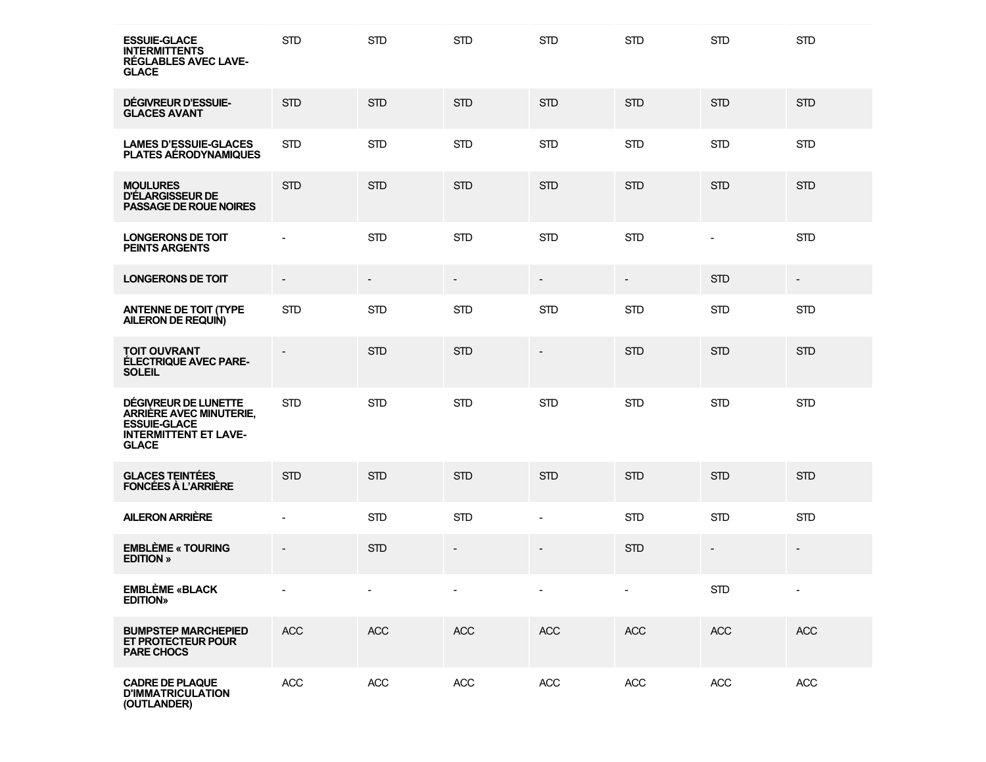| <b>ESSUIE-GLACE</b><br><b>INTERMITTENTS</b><br><b>RÉGLABLES AVEC LAVE-</b><br><b>GLACE</b>                                    | <b>STD</b>                   | <b>STD</b> | <b>STD</b>               | <b>STD</b>               | <b>STD</b>               | <b>STD</b>               | <b>STD</b>               |
|-------------------------------------------------------------------------------------------------------------------------------|------------------------------|------------|--------------------------|--------------------------|--------------------------|--------------------------|--------------------------|
| DÉGIVREUR D'ESSUIE-<br><b>GLACES AVANT</b>                                                                                    | <b>STD</b>                   | <b>STD</b> | <b>STD</b>               | <b>STD</b>               | <b>STD</b>               | <b>STD</b>               | <b>STD</b>               |
| <b>LAMES D'ESSUIE-GLACES</b><br><b>PLATES AERODYNAMIQUES</b>                                                                  | <b>STD</b>                   | <b>STD</b> | <b>STD</b>               | <b>STD</b>               | <b>STD</b>               | <b>STD</b>               | <b>STD</b>               |
| <b>MOULURES</b><br>D'ÉLARGISSEUR DE<br><b>PASSAGE DE ROUE NOIRES</b>                                                          | <b>STD</b>                   | <b>STD</b> | <b>STD</b>               | <b>STD</b>               | <b>STD</b>               | <b>STD</b>               | <b>STD</b>               |
| <b>LONGERONS DE TOIT</b><br><b>PEINTS ARGENTS</b>                                                                             |                              | <b>STD</b> | <b>STD</b>               | <b>STD</b>               | <b>STD</b>               | $\overline{\phantom{a}}$ | <b>STD</b>               |
| <b>LONGERONS DE TOIT</b>                                                                                                      | $\overline{\phantom{a}}$     |            | $\overline{\phantom{a}}$ | $\overline{\phantom{a}}$ | $\overline{\phantom{a}}$ | <b>STD</b>               | $\overline{\phantom{a}}$ |
| <b>ANTENNE DE TOIT (TYPE)</b><br>AILERON DE REQUIN)                                                                           | <b>STD</b>                   | <b>STD</b> | <b>STD</b>               | <b>STD</b>               | <b>STD</b>               | <b>STD</b>               | <b>STD</b>               |
| <b>TOIT OUVRANT</b><br><b>ÉLECTRIQUE AVEC PARE-</b><br><b>SOLEIL</b>                                                          |                              | <b>STD</b> | <b>STD</b>               | $\overline{\phantom{a}}$ | <b>STD</b>               | <b>STD</b>               | <b>STD</b>               |
| DÉGIVREUR DE LUNETTE<br><b>ARRIÈRE AVEC MINUTERIE,</b><br><b>ESSUIE-GLACE</b><br><b>INTERMITTENT ET LAVE-</b><br><b>GLACE</b> | <b>STD</b>                   | <b>STD</b> | <b>STD</b>               | <b>STD</b>               | <b>STD</b>               | <b>STD</b>               | <b>STD</b>               |
| <b>GLACES TEINTÉES</b><br><b>FONCÉES À L'ARRIÈRE</b>                                                                          | <b>STD</b>                   | <b>STD</b> | <b>STD</b>               | <b>STD</b>               | <b>STD</b>               | <b>STD</b>               | <b>STD</b>               |
| <b>AILERON ARRIÈRE</b>                                                                                                        |                              | <b>STD</b> | <b>STD</b>               | $\overline{\phantom{a}}$ | <b>STD</b>               | <b>STD</b>               | <b>STD</b>               |
| <b>EMBLÈME « TOURING</b><br><b>EDITION</b> »                                                                                  | $\qquad \qquad \blacksquare$ | <b>STD</b> | $\overline{a}$           |                          | <b>STD</b>               | $\overline{\phantom{a}}$ | $\overline{\phantom{a}}$ |
| <b>EMBLÈME «BLACK</b><br><b>EDITION»</b>                                                                                      |                              |            |                          |                          |                          | <b>STD</b>               |                          |
| <b>BUMPSTEP MARCHEPIED</b><br>ET PROTECTEUR POUR<br><b>PARE CHOCS</b>                                                         | <b>ACC</b>                   | <b>ACC</b> | <b>ACC</b>               | <b>ACC</b>               | <b>ACC</b>               | <b>ACC</b>               | <b>ACC</b>               |
| <b>CADRE DE PLAQUE</b><br><b>D'IMMATRICULATION</b><br>(OUTLANDER)                                                             | ACC                          | ACC        | <b>ACC</b>               | <b>ACC</b>               | ACC                      | <b>ACC</b>               | ACC                      |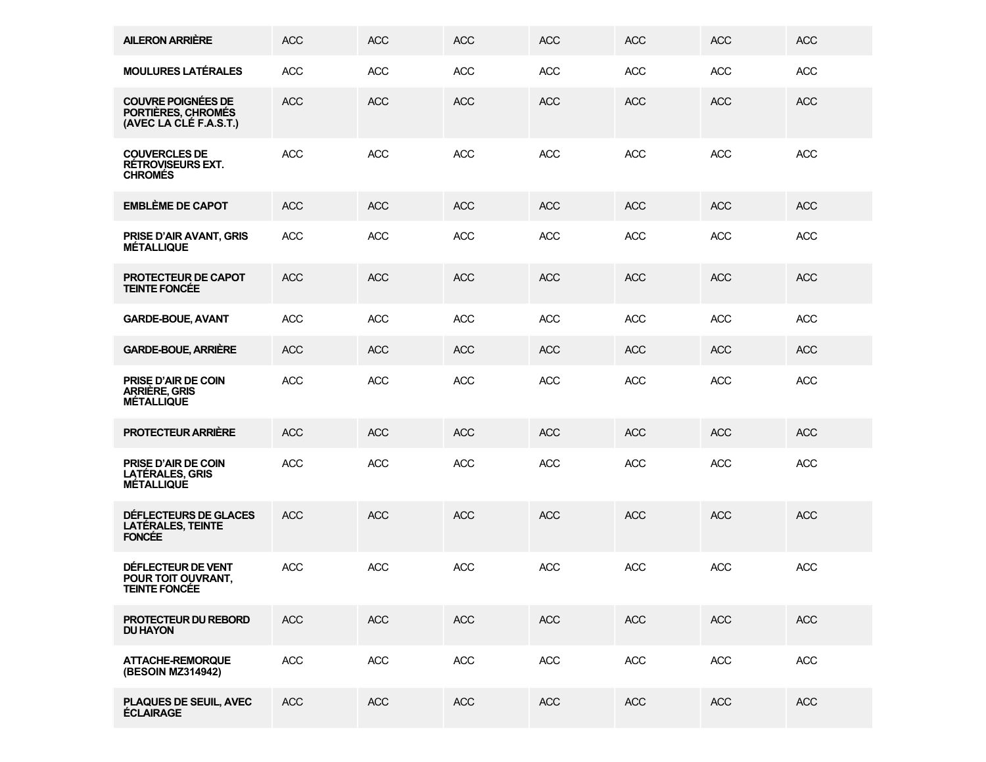| <b>AILERON ARRIÈRE</b>                                                    | <b>ACC</b> | <b>ACC</b> | <b>ACC</b> | <b>ACC</b> | <b>ACC</b> | <b>ACC</b> | <b>ACC</b> |
|---------------------------------------------------------------------------|------------|------------|------------|------------|------------|------------|------------|
| <b>MOULURES LATÉRALES</b>                                                 | <b>ACC</b> | <b>ACC</b> | <b>ACC</b> | <b>ACC</b> | <b>ACC</b> | <b>ACC</b> | <b>ACC</b> |
| <b>COUVRE POIGNÉES DE</b><br>PORTIÈRES, CHROMÉS<br>(AVEC LA CLÉ F.A.S.T.) | <b>ACC</b> | <b>ACC</b> | <b>ACC</b> | <b>ACC</b> | <b>ACC</b> | <b>ACC</b> | <b>ACC</b> |
| <b>COUVERCLES DE</b><br><b>RÉTROVISEURS EXT.</b><br><b>CHROMÉS</b>        | <b>ACC</b> | <b>ACC</b> | <b>ACC</b> | <b>ACC</b> | <b>ACC</b> | <b>ACC</b> | <b>ACC</b> |
| <b>EMBLÈME DE CAPOT</b>                                                   | <b>ACC</b> | <b>ACC</b> | <b>ACC</b> | <b>ACC</b> | <b>ACC</b> | <b>ACC</b> | <b>ACC</b> |
| PRISE D'AIR AVANT, GRIS<br><b>MÉTALLIQUE</b>                              | <b>ACC</b> | <b>ACC</b> | <b>ACC</b> | <b>ACC</b> | <b>ACC</b> | <b>ACC</b> | <b>ACC</b> |
| PROTECTEUR DE CAPOT<br><b>TEINTE FONCÉE</b>                               | <b>ACC</b> | <b>ACC</b> | <b>ACC</b> | <b>ACC</b> | <b>ACC</b> | <b>ACC</b> | <b>ACC</b> |
| <b>GARDE-BOUE, AVANT</b>                                                  | <b>ACC</b> | <b>ACC</b> | <b>ACC</b> | <b>ACC</b> | <b>ACC</b> | <b>ACC</b> | <b>ACC</b> |
| <b>GARDE-BOUE, ARRIÈRE</b>                                                | <b>ACC</b> | <b>ACC</b> | <b>ACC</b> | <b>ACC</b> | <b>ACC</b> | <b>ACC</b> | <b>ACC</b> |
| PRISE D'AIR DE COIN<br>ARRIÈRE, GRIS<br><b>MÉTALLIQUE</b>                 | <b>ACC</b> | <b>ACC</b> | <b>ACC</b> | <b>ACC</b> | <b>ACC</b> | <b>ACC</b> | <b>ACC</b> |
| <b>PROTECTEUR ARRIÈRE</b>                                                 | <b>ACC</b> | <b>ACC</b> | <b>ACC</b> | <b>ACC</b> | <b>ACC</b> | <b>ACC</b> | <b>ACC</b> |
| PRISE D'AIR DE COIN<br><b>LATÉRALES, GRIS</b><br><b>MÉTALLIQUE</b>        | <b>ACC</b> | <b>ACC</b> | <b>ACC</b> | <b>ACC</b> | <b>ACC</b> | <b>ACC</b> | <b>ACC</b> |
| DÉFLECTEURS DE GLACES<br>LATÉRALES, TEINTE<br><b>FONCEE</b>               | <b>ACC</b> | <b>ACC</b> | <b>ACC</b> | <b>ACC</b> | <b>ACC</b> | <b>ACC</b> | <b>ACC</b> |
| DÉFLECTEUR DE VENT<br>POUR TOIT OUVRANT,<br><b>TEINTE FONCÉE</b>          | <b>ACC</b> | <b>ACC</b> | <b>ACC</b> | <b>ACC</b> | <b>ACC</b> | <b>ACC</b> | <b>ACC</b> |
| PROTECTEUR DU REBORD<br><b>DU HAYON</b>                                   | ACC        | <b>ACC</b> | <b>ACC</b> | <b>ACC</b> | <b>ACC</b> | <b>ACC</b> | <b>ACC</b> |
| <b>ATTACHE-REMORQUE</b><br>(BESOIN MZ314942)                              | ACC        | ACC        | ACC        | <b>ACC</b> | ACC        | ACC        | ACC        |
| PLAQUES DE SEUIL, AVEC<br><b>ÉCLAIRAGE</b>                                | ACC        | <b>ACC</b> | <b>ACC</b> | <b>ACC</b> | <b>ACC</b> | <b>ACC</b> | <b>ACC</b> |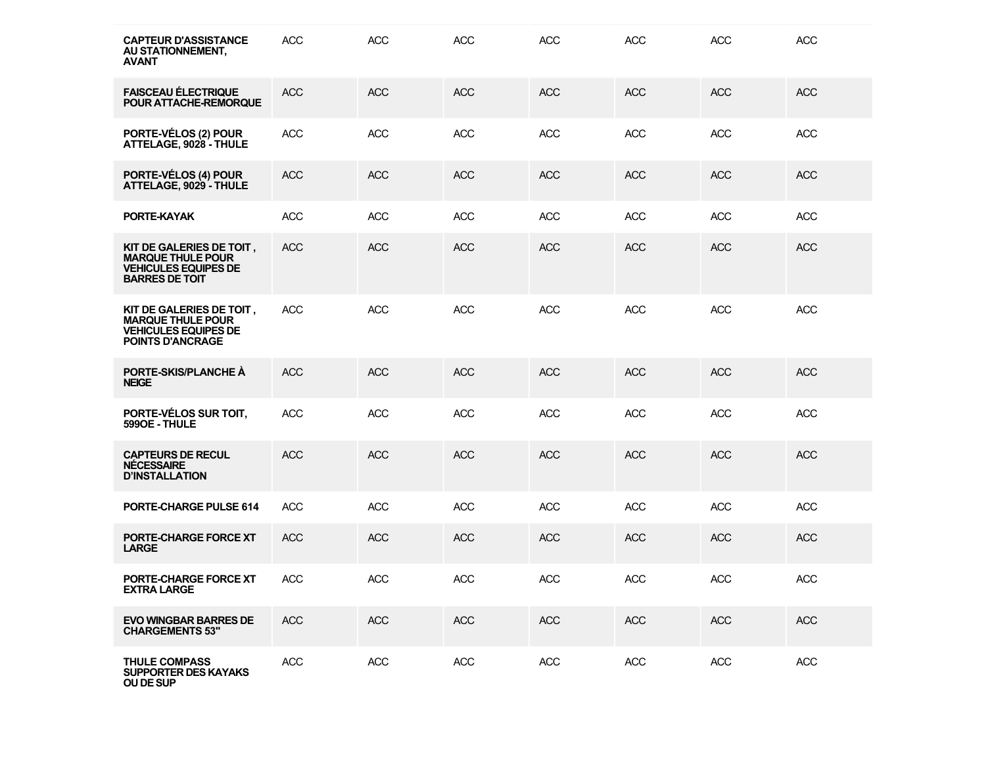| <b>CAPTEUR D'ASSISTANCE</b><br>AU STATIONNEMENT,<br><b>AVANT</b>                                               | <b>ACC</b> | <b>ACC</b> | <b>ACC</b> | <b>ACC</b> | <b>ACC</b> | <b>ACC</b> | <b>ACC</b> |
|----------------------------------------------------------------------------------------------------------------|------------|------------|------------|------------|------------|------------|------------|
| <b>FAISCEAU ÉLECTRIQUE</b><br>POUR ATTACHE-REMORQUE                                                            | <b>ACC</b> | <b>ACC</b> | <b>ACC</b> | <b>ACC</b> | <b>ACC</b> | <b>ACC</b> | <b>ACC</b> |
| PORTE-VÉLOS (2) POUR<br>ATTELAGE, 9028 - THULE                                                                 | <b>ACC</b> | <b>ACC</b> | <b>ACC</b> | <b>ACC</b> | <b>ACC</b> | <b>ACC</b> | <b>ACC</b> |
| PORTE-VÉLOS (4) POUR<br>ATTELAGE, 9029 - THULE                                                                 | <b>ACC</b> | <b>ACC</b> | <b>ACC</b> | <b>ACC</b> | <b>ACC</b> | <b>ACC</b> | <b>ACC</b> |
| PORTE-KAYAK                                                                                                    | <b>ACC</b> | <b>ACC</b> | <b>ACC</b> | <b>ACC</b> | <b>ACC</b> | <b>ACC</b> | <b>ACC</b> |
| KIT DE GALERIES DE TOIT,<br><b>MARQUE THULE POUR</b><br><b>VEHICULES EQUIPES DE</b><br><b>BARRES DE TOIT</b>   | <b>ACC</b> | <b>ACC</b> | <b>ACC</b> | <b>ACC</b> | <b>ACC</b> | <b>ACC</b> | <b>ACC</b> |
| KIT DE GALERIES DE TOIT,<br><b>MARQUE THULE POUR</b><br><b>VEHICULES EQUIPES DE</b><br><b>POINTS D'ANCRAGE</b> | <b>ACC</b> | <b>ACC</b> | <b>ACC</b> | <b>ACC</b> | <b>ACC</b> | <b>ACC</b> | <b>ACC</b> |
| PORTE-SKIS/PLANCHE À<br><b>NEIGE</b>                                                                           | <b>ACC</b> | <b>ACC</b> | <b>ACC</b> | <b>ACC</b> | <b>ACC</b> | <b>ACC</b> | <b>ACC</b> |
| PORTE-VÉLOS SUR TOIT,<br>599OE - THULE                                                                         | <b>ACC</b> | <b>ACC</b> | <b>ACC</b> | <b>ACC</b> | <b>ACC</b> | <b>ACC</b> | <b>ACC</b> |
| <b>CAPTEURS DE RECUL</b><br><b>NECESSAIRE</b><br><b>D'INSTALLATION</b>                                         | <b>ACC</b> | <b>ACC</b> | <b>ACC</b> | <b>ACC</b> | <b>ACC</b> | <b>ACC</b> | <b>ACC</b> |
| PORTE-CHARGE PULSE 614                                                                                         | <b>ACC</b> | <b>ACC</b> | <b>ACC</b> | <b>ACC</b> | <b>ACC</b> | <b>ACC</b> | <b>ACC</b> |
| PORTE-CHARGE FORCE XT<br><b>LARGE</b>                                                                          | <b>ACC</b> | <b>ACC</b> | <b>ACC</b> | <b>ACC</b> | <b>ACC</b> | <b>ACC</b> | <b>ACC</b> |
| PORTE-CHARGE FORCE XT<br><b>EXTRA LARGE</b>                                                                    | <b>ACC</b> | <b>ACC</b> | <b>ACC</b> | <b>ACC</b> | <b>ACC</b> | <b>ACC</b> | <b>ACC</b> |
| <b>EVO WINGBAR BARRES DE</b><br><b>CHARGEMENTS 53"</b>                                                         | ACC        | <b>ACC</b> | <b>ACC</b> | <b>ACC</b> | <b>ACC</b> | ACC        | <b>ACC</b> |
| <b>THULE COMPASS</b><br><b>SUPPORTER DES KAYAKS</b><br>OU DE SUP                                               | ACC        | <b>ACC</b> | <b>ACC</b> | <b>ACC</b> | <b>ACC</b> | ACC        | <b>ACC</b> |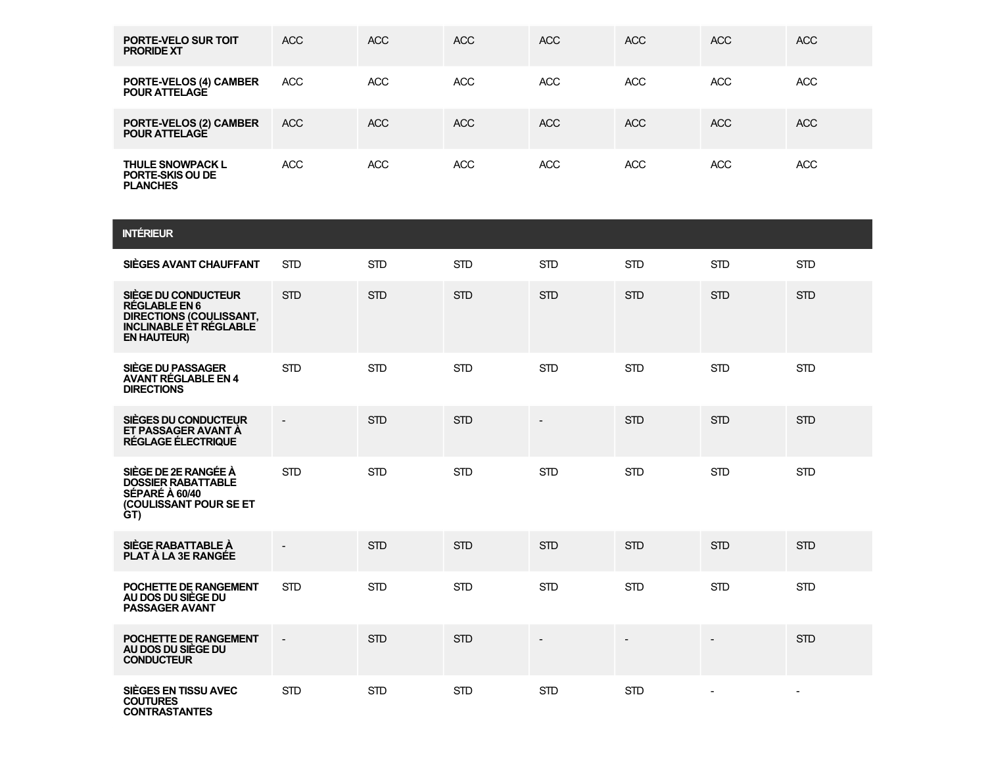| <b>PORTE-VELO SUR TOIT</b><br><b>PRORIDE XT</b>                       | <b>ACC</b> | <b>ACC</b> | <b>ACC</b> | <b>ACC</b> | <b>ACC</b> | <b>ACC</b> | <b>ACC</b> |
|-----------------------------------------------------------------------|------------|------------|------------|------------|------------|------------|------------|
| <b>PORTE-VELOS (4) CAMBER</b><br><b>POUR ATTELAGE</b>                 | <b>ACC</b> | <b>ACC</b> | <b>ACC</b> | <b>ACC</b> | <b>ACC</b> | <b>ACC</b> | <b>ACC</b> |
| PORTE-VELOS (2) CAMBER<br><b>POUR ATTELAGE</b>                        | ACC        | ACC        | ACC        | ACC        | <b>ACC</b> | <b>ACC</b> | <b>ACC</b> |
| <b>THULE SNOWPACK L</b><br><b>PORTE-SKIS OU DE</b><br><b>PLANCHES</b> | <b>ACC</b> | <b>ACC</b> | <b>ACC</b> | <b>ACC</b> | <b>ACC</b> | <b>ACC</b> | <b>ACC</b> |

| <b>INTÉRIEUR</b>                                                                                                                     |                          |            |            |                |                          |            |                          |
|--------------------------------------------------------------------------------------------------------------------------------------|--------------------------|------------|------------|----------------|--------------------------|------------|--------------------------|
| SIÈGES AVANT CHAUFFANT                                                                                                               | <b>STD</b>               | <b>STD</b> | <b>STD</b> | <b>STD</b>     | <b>STD</b>               | <b>STD</b> | <b>STD</b>               |
| SIÈGE DU CONDUCTEUR<br><b>RÉGLABLE EN 6</b><br><b>DIRECTIONS (COULISSANT,</b><br><b>INCLINABLE ET RÉGLABLE</b><br><b>EN HAUTEUR)</b> | <b>STD</b>               | <b>STD</b> | <b>STD</b> | <b>STD</b>     | <b>STD</b>               | <b>STD</b> | <b>STD</b>               |
| SIÈGE DU PASSAGER<br><b>AVANT RÉGLABLE EN 4</b><br><b>DIRECTIONS</b>                                                                 | <b>STD</b>               | <b>STD</b> | <b>STD</b> | <b>STD</b>     | <b>STD</b>               | <b>STD</b> | <b>STD</b>               |
| SIÈGES DU CONDUCTEUR<br>ET PASSAGER AVANT À<br>RÉGLAGE ÉLECTRIQUE                                                                    | $\blacksquare$           | <b>STD</b> | <b>STD</b> | $\blacksquare$ | <b>STD</b>               | <b>STD</b> | <b>STD</b>               |
| SIÈGE DE 2E RANGÉE À<br><b>DOSSIER RABATTABLE</b><br>SÉPARÉ À 60/40<br><b>(COULISSANT POUR SE ET)</b><br>GT)                         | <b>STD</b>               | <b>STD</b> | <b>STD</b> | <b>STD</b>     | <b>STD</b>               | <b>STD</b> | <b>STD</b>               |
| SIÈGE RABATTABLE À<br><b>PLAT A LA 3E RANGÉE</b>                                                                                     | $\overline{\phantom{a}}$ | <b>STD</b> | <b>STD</b> | <b>STD</b>     | <b>STD</b>               | <b>STD</b> | <b>STD</b>               |
| POCHETTE DE RANGEMENT<br>AU DOS DU SIÈGE DU<br><b>PASSAGER AVANT</b>                                                                 | <b>STD</b>               | <b>STD</b> | <b>STD</b> | <b>STD</b>     | <b>STD</b>               | <b>STD</b> | <b>STD</b>               |
| POCHETTE DE RANGEMENT<br>AU DOS DU SIÈGE DU<br><b>CONDUCTEUR</b>                                                                     | $\overline{\phantom{a}}$ | <b>STD</b> | <b>STD</b> |                | $\overline{\phantom{a}}$ |            | <b>STD</b>               |
| SIÈGES EN TISSU AVEC<br><b>COUTURES</b>                                                                                              | <b>STD</b>               | <b>STD</b> | <b>STD</b> | <b>STD</b>     | <b>STD</b>               |            | $\overline{\phantom{a}}$ |

**CONTRASTANTES**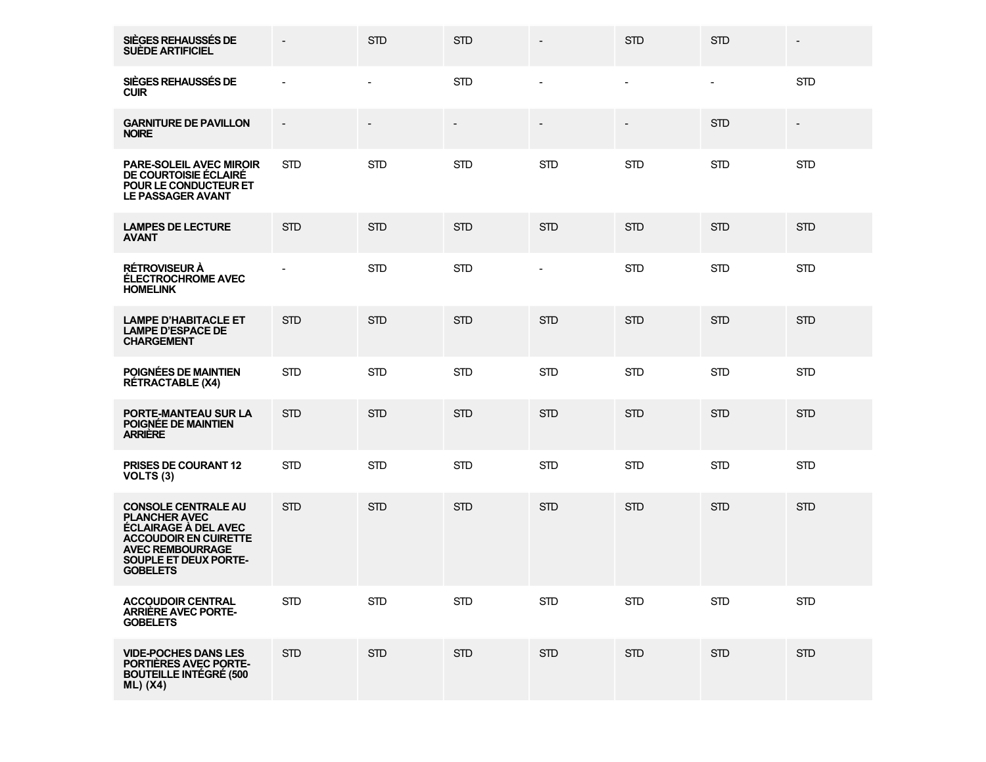| SIÈGES REHAUSSÉS DE<br><b>SUÈDE ARTIFICIEL</b>                                                                                                                                    |               | <b>STD</b>               | <b>STD</b> |                          | <b>STD</b>               | <b>STD</b>     |                          |
|-----------------------------------------------------------------------------------------------------------------------------------------------------------------------------------|---------------|--------------------------|------------|--------------------------|--------------------------|----------------|--------------------------|
| SIÈGES REHAUSSÉS DE<br><b>CUIR</b>                                                                                                                                                |               | $\overline{\phantom{a}}$ | <b>STD</b> | $\blacksquare$           | $\blacksquare$           | $\blacksquare$ | <b>STD</b>               |
| <b>GARNITURE DE PAVILLON</b><br><b>NOIRE</b>                                                                                                                                      | $\frac{1}{2}$ |                          |            | $\overline{\phantom{a}}$ | $\overline{\phantom{a}}$ | <b>STD</b>     | $\overline{\phantom{a}}$ |
| <b>PARE-SOLEIL AVEC MIROIR</b><br>DE COURTOISIE ÉCLAIRE<br>POUR LE CONDUCTEUR ET<br><b>LE PASSAGER AVANT</b>                                                                      | <b>STD</b>    | <b>STD</b>               | <b>STD</b> | <b>STD</b>               | <b>STD</b>               | <b>STD</b>     | <b>STD</b>               |
| <b>LAMPES DE LECTURE</b><br><b>AVANT</b>                                                                                                                                          | <b>STD</b>    | <b>STD</b>               | <b>STD</b> | <b>STD</b>               | <b>STD</b>               | <b>STD</b>     | <b>STD</b>               |
| <b>RÉTROVISEUR À</b><br><b>ÉLECTROCHROME AVEC</b><br><b>HOMELINK</b>                                                                                                              |               | <b>STD</b>               | <b>STD</b> | $\blacksquare$           | <b>STD</b>               | <b>STD</b>     | <b>STD</b>               |
| <b>LAMPE D'HABITACLE ET</b><br><b>LAMPE D'ESPACE DE</b><br><b>CHARGEMENT</b>                                                                                                      | <b>STD</b>    | <b>STD</b>               | <b>STD</b> | <b>STD</b>               | <b>STD</b>               | <b>STD</b>     | <b>STD</b>               |
| POIGNÉES DE MAINTIEN<br><b>RÉTRACTABLE (X4)</b>                                                                                                                                   | $\mbox{STD}$  | <b>STD</b>               | <b>STD</b> | <b>STD</b>               | <b>STD</b>               | <b>STD</b>     | <b>STD</b>               |
| PORTE-MANTEAU SUR LA<br>POIGNÉE DE MAINTIEN<br><b>ARRIERE</b>                                                                                                                     | <b>STD</b>    | <b>STD</b>               | <b>STD</b> | <b>STD</b>               | <b>STD</b>               | <b>STD</b>     | <b>STD</b>               |
| PRISES DE COURANT 12<br>VOLTS <sub>(3)</sub>                                                                                                                                      | $\mbox{STD}$  | <b>STD</b>               | <b>STD</b> | <b>STD</b>               | <b>STD</b>               | <b>STD</b>     | <b>STD</b>               |
| <b>CONSOLE CENTRALE AU</b><br>PLANCHER AVEC<br>ÉCLAIRAGE A DEL AVEC<br><b>ACCOUDOIR EN CUIRETTE</b><br><b>AVEC REMBOURRAGE</b><br><b>SOUPLE ET DEUX PORTE-</b><br><b>GOBELETS</b> | <b>STD</b>    | <b>STD</b>               | <b>STD</b> | <b>STD</b>               | <b>STD</b>               | <b>STD</b>     | <b>STD</b>               |
| <b>ACCOUDOIR CENTRAL</b><br><b>ARRIÈRE AVEC PORTE-</b><br><b>GOBELETS</b>                                                                                                         | <b>STD</b>    | <b>STD</b>               | <b>STD</b> | <b>STD</b>               | <b>STD</b>               | <b>STD</b>     | <b>STD</b>               |
| <b>VIDE-POCHES DANS LES</b><br>PORTIÈRES AVEC PORTE-<br><b>BOUTEILLE INTÉGRÉ (500</b><br><b>ML)</b> (X4)                                                                          | <b>STD</b>    | <b>STD</b>               | <b>STD</b> | <b>STD</b>               | <b>STD</b>               | <b>STD</b>     | <b>STD</b>               |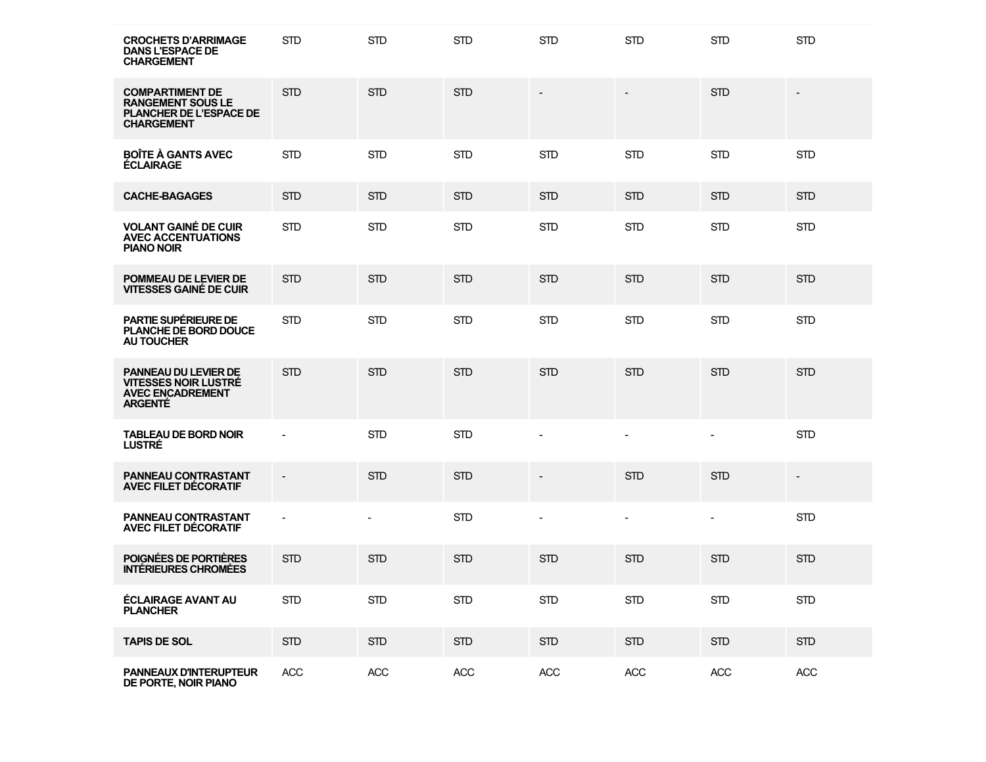| <b>CROCHETS D'ARRIMAGE</b><br><b>DANS L'ESPACE DE</b><br><b>CHARGEMENT</b>                                | <b>STD</b>               | <b>STD</b> | <b>STD</b> | <b>STD</b>               | <b>STD</b>               | <b>STD</b>               | <b>STD</b>               |
|-----------------------------------------------------------------------------------------------------------|--------------------------|------------|------------|--------------------------|--------------------------|--------------------------|--------------------------|
| <b>COMPARTIMENT DE</b><br><b>RANGEMENT SOUS LE</b><br><b>PLANCHER DE L'ESPACE DE</b><br><b>CHARGEMENT</b> | <b>STD</b>               | <b>STD</b> | <b>STD</b> |                          | $\overline{\phantom{a}}$ | <b>STD</b>               |                          |
| <b>BOÎTE À GANTS AVEC</b><br><b>ECLAIRAGE</b>                                                             | <b>STD</b>               | <b>STD</b> | <b>STD</b> | <b>STD</b>               | <b>STD</b>               | <b>STD</b>               | <b>STD</b>               |
| <b>CACHE-BAGAGES</b>                                                                                      | <b>STD</b>               | <b>STD</b> | <b>STD</b> | <b>STD</b>               | <b>STD</b>               | <b>STD</b>               | <b>STD</b>               |
| <b>VOLANT GAINÉ DE CUIR</b><br><b>AVEC ACCENTUATIONS</b><br><b>PIANO NOIR</b>                             | <b>STD</b>               | <b>STD</b> | <b>STD</b> | <b>STD</b>               | <b>STD</b>               | <b>STD</b>               | <b>STD</b>               |
| POMMEAU DE LEVIER DE<br><b>VITESSES GAINÉ DE CUIR</b>                                                     | <b>STD</b>               | <b>STD</b> | <b>STD</b> | <b>STD</b>               | <b>STD</b>               | <b>STD</b>               | <b>STD</b>               |
| PARTIE SUPÉRIEURE DE<br>PLANCHE DE BORD DOUCE<br><b>AU TOUCHER</b>                                        | <b>STD</b>               | <b>STD</b> | <b>STD</b> | <b>STD</b>               | <b>STD</b>               | <b>STD</b>               | <b>STD</b>               |
| <b>PANNEAU DU LEVIER DE</b><br><b>VITESSES NOIR LUSTRÉ</b><br><b>AVEC ENCADREMENT</b><br><b>ARGENTE</b>   | <b>STD</b>               | <b>STD</b> | <b>STD</b> | <b>STD</b>               | <b>STD</b>               | <b>STD</b>               | <b>STD</b>               |
| <b>TABLEAU DE BORD NOIR</b><br><b>LUSTRE</b>                                                              | $\blacksquare$           | <b>STD</b> | <b>STD</b> |                          | $\blacksquare$           | $\overline{\phantom{a}}$ | <b>STD</b>               |
| PANNEAU CONTRASTANT<br><b>AVEC FILET DECORATIF</b>                                                        | $\overline{\phantom{a}}$ | <b>STD</b> | <b>STD</b> | $\overline{\phantom{a}}$ | <b>STD</b>               | <b>STD</b>               | $\overline{\phantom{a}}$ |
| <b>PANNEAU CONTRASTANT</b><br><b>AVEC FILET DECORATIF</b>                                                 | $\blacksquare$           |            | <b>STD</b> |                          | $\overline{\phantom{a}}$ | $\overline{\phantom{a}}$ | <b>STD</b>               |
| POIGNÉES DE PORTIÈRES<br><b>INTÉRIEURES CHROMÉES</b>                                                      | <b>STD</b>               | <b>STD</b> | <b>STD</b> | <b>STD</b>               | <b>STD</b>               | <b>STD</b>               | <b>STD</b>               |
| <b>ÉCLAIRAGE AVANT AU</b><br><b>PLANCHER</b>                                                              | <b>STD</b>               | <b>STD</b> | <b>STD</b> | <b>STD</b>               | <b>STD</b>               | <b>STD</b>               | <b>STD</b>               |
| <b>TAPIS DE SOL</b>                                                                                       | <b>STD</b>               | <b>STD</b> | <b>STD</b> | <b>STD</b>               | <b>STD</b>               | <b>STD</b>               | <b>STD</b>               |
| PANNEAUX D'INTERUPTEUR<br>DE PORTE, NOIR PIANO                                                            | ACC                      | ACC        | ACC        | ACC                      | ACC                      | ACC                      | ACC                      |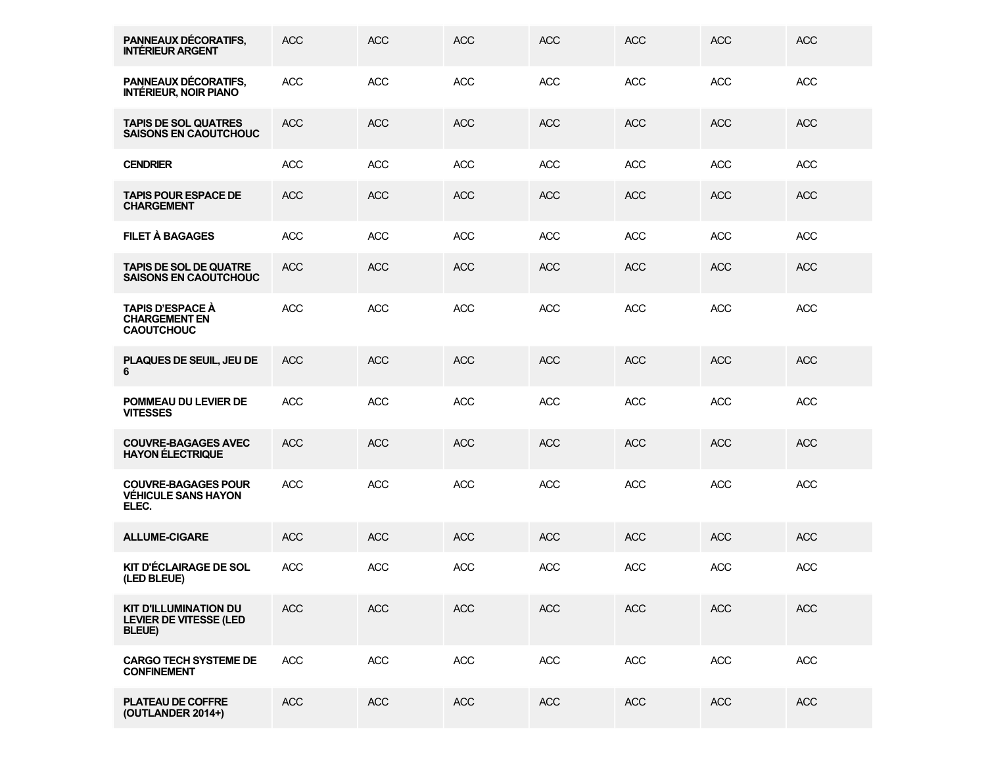| PANNEAUX DÉCORATIFS,<br><b>INTÉRIEUR ARGENT</b>                                 | <b>ACC</b> | <b>ACC</b> | <b>ACC</b> | <b>ACC</b> | <b>ACC</b> | <b>ACC</b> | <b>ACC</b> |
|---------------------------------------------------------------------------------|------------|------------|------------|------------|------------|------------|------------|
| PANNEAUX DÉCORATIFS,<br><b>INTÉRIEUR, NOIR PIANO</b>                            | <b>ACC</b> | <b>ACC</b> | <b>ACC</b> | <b>ACC</b> | <b>ACC</b> | <b>ACC</b> | <b>ACC</b> |
| <b>TAPIS DE SOL QUATRES</b><br><b>SAISONS EN CAOUTCHOUC</b>                     | <b>ACC</b> | <b>ACC</b> | <b>ACC</b> | <b>ACC</b> | <b>ACC</b> | <b>ACC</b> | <b>ACC</b> |
| <b>CENDRIER</b>                                                                 | <b>ACC</b> | <b>ACC</b> | <b>ACC</b> | <b>ACC</b> | <b>ACC</b> | <b>ACC</b> | <b>ACC</b> |
| <b>TAPIS POUR ESPACE DE</b><br><b>CHARGEMENT</b>                                | <b>ACC</b> | <b>ACC</b> | <b>ACC</b> | <b>ACC</b> | <b>ACC</b> | <b>ACC</b> | <b>ACC</b> |
| FILET À BAGAGES                                                                 | <b>ACC</b> | <b>ACC</b> | <b>ACC</b> | <b>ACC</b> | <b>ACC</b> | <b>ACC</b> | <b>ACC</b> |
| <b>TAPIS DE SOL DE QUATRE</b><br><b>SAISONS EN CAOUTCHOUC</b>                   | <b>ACC</b> | <b>ACC</b> | <b>ACC</b> | <b>ACC</b> | <b>ACC</b> | <b>ACC</b> | <b>ACC</b> |
| <b>TAPIS D'ESPACE À</b><br><b>CHARGEMENT EN</b><br><b>CAOUTCHOUC</b>            | <b>ACC</b> | <b>ACC</b> | <b>ACC</b> | <b>ACC</b> | <b>ACC</b> | <b>ACC</b> | <b>ACC</b> |
| PLAQUES DE SEUIL, JEU DE<br>6                                                   | <b>ACC</b> | <b>ACC</b> | <b>ACC</b> | <b>ACC</b> | <b>ACC</b> | <b>ACC</b> | <b>ACC</b> |
| POMMEAU DU LEVIER DE<br><b>VITESSES</b>                                         | <b>ACC</b> | <b>ACC</b> | <b>ACC</b> | <b>ACC</b> | <b>ACC</b> | <b>ACC</b> | <b>ACC</b> |
| <b>COUVRE-BAGAGES AVEC</b><br><b>HAYON ELECTRIQUE</b>                           | <b>ACC</b> | <b>ACC</b> | <b>ACC</b> | <b>ACC</b> | <b>ACC</b> | <b>ACC</b> | <b>ACC</b> |
| <b>COUVRE-BAGAGES POUR</b><br><b>VÉHICULE SANS HAYON</b><br>ELEC.               | <b>ACC</b> | <b>ACC</b> | <b>ACC</b> | <b>ACC</b> | <b>ACC</b> | <b>ACC</b> | <b>ACC</b> |
| <b>ALLUME-CIGARE</b>                                                            | <b>ACC</b> | <b>ACC</b> | <b>ACC</b> | <b>ACC</b> | <b>ACC</b> | <b>ACC</b> | <b>ACC</b> |
| KIT D'ÉCLAIRAGE DE SOL<br>(LED BLEUE)                                           | <b>ACC</b> | <b>ACC</b> | <b>ACC</b> | <b>ACC</b> | <b>ACC</b> | <b>ACC</b> | <b>ACC</b> |
| <b>KIT D'ILLUMINATION DU</b><br><b>LEVIER DE VITESSE (LED</b><br><b>BLEUE</b> ) | <b>ACC</b> | <b>ACC</b> | <b>ACC</b> | <b>ACC</b> | <b>ACC</b> | <b>ACC</b> | <b>ACC</b> |
| <b>CARGO TECH SYSTEME DE</b><br><b>CONFINEMENT</b>                              | <b>ACC</b> | ACC        | <b>ACC</b> | <b>ACC</b> | <b>ACC</b> | <b>ACC</b> | <b>ACC</b> |
| <b>PLATEAU DE COFFRE</b><br>(OUTLANDER 2014+)                                   | <b>ACC</b> | <b>ACC</b> | <b>ACC</b> | <b>ACC</b> | <b>ACC</b> | <b>ACC</b> | <b>ACC</b> |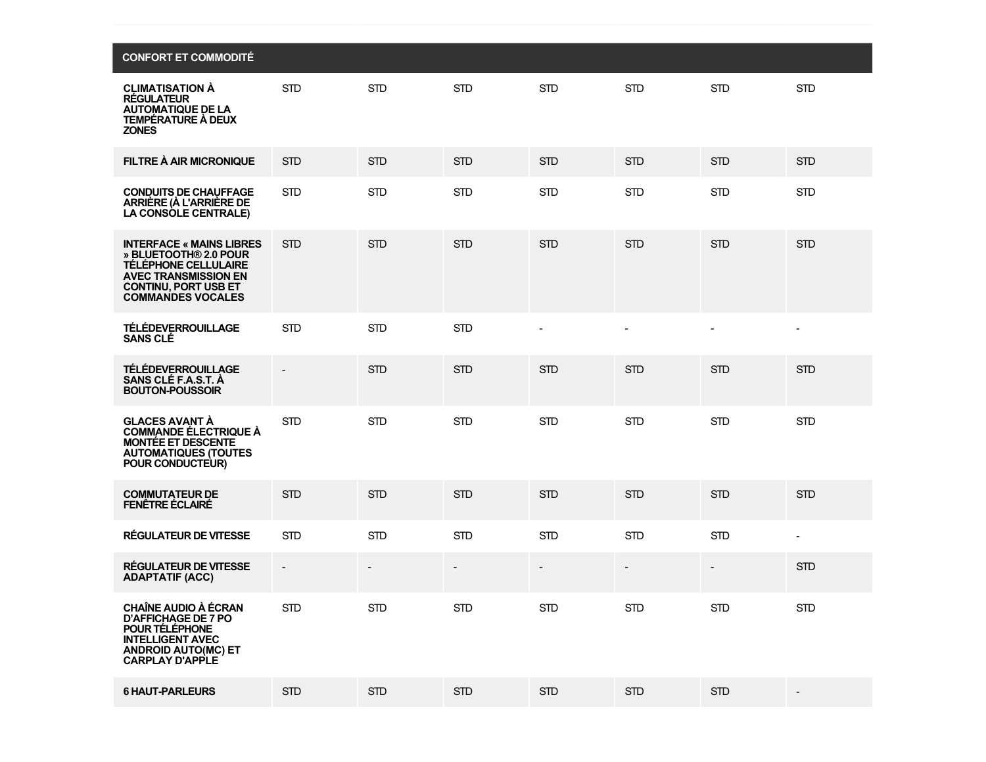| <b>CONFORT ET COMMODITÉ</b>                                                                                                                                                |                          |            |            |                          |                |                          |                          |
|----------------------------------------------------------------------------------------------------------------------------------------------------------------------------|--------------------------|------------|------------|--------------------------|----------------|--------------------------|--------------------------|
| <b>CLIMATISATION A</b><br><b>REGULATEUR</b><br><b>AUTOMATIQUE DE LA</b><br><b>TEMPÉRATURE À DEUX</b><br><b>ZONES</b>                                                       | <b>STD</b>               | <b>STD</b> | <b>STD</b> | <b>STD</b>               | <b>STD</b>     | <b>STD</b>               | <b>STD</b>               |
| FILTRE À AIR MICRONIQUE                                                                                                                                                    | <b>STD</b>               | <b>STD</b> | <b>STD</b> | <b>STD</b>               | <b>STD</b>     | <b>STD</b>               | <b>STD</b>               |
| <b>CONDUITS DE CHAUFFAGE</b><br>ARRIÈRE (À L'ARRIÈRE DE<br>LA CONSOLE CENTRALE)                                                                                            | <b>STD</b>               | <b>STD</b> | <b>STD</b> | <b>STD</b>               | <b>STD</b>     | <b>STD</b>               | <b>STD</b>               |
| <b>INTERFACE « MAINS LIBRES</b><br>» BLUETOOTH® 2.0 POUR<br>TÉLÉPHONE CELLULAIRE<br><b>AVEC TRANSMISSION EN</b><br><b>CONTINU, PORT USB ET</b><br><b>COMMANDES VOCALES</b> | <b>STD</b>               | <b>STD</b> | <b>STD</b> | <b>STD</b>               | <b>STD</b>     | <b>STD</b>               | <b>STD</b>               |
| <b>TÉLÉDEVERROUILLAGE</b><br><b>SANS CLÉ</b>                                                                                                                               | <b>STD</b>               | <b>STD</b> | <b>STD</b> |                          | $\blacksquare$ | $\blacksquare$           |                          |
| <b>TÉLÉDEVERROUILLAGE</b><br>SANS CLÉ F.A.S.T. À<br><b>BOUTON-POUSSOIR</b>                                                                                                 | $\overline{\phantom{a}}$ | <b>STD</b> | <b>STD</b> | <b>STD</b>               | <b>STD</b>     | <b>STD</b>               | <b>STD</b>               |
| <b>GLACES AVANT À</b><br><b>COMMANDE ÉLECTRIQUE À</b><br><b>MONTÉE ET DESCENTE</b><br><b>AUTOMATIQUES (TOUTES</b><br>POUR CONDUCTEUR)                                      | <b>STD</b>               | <b>STD</b> | <b>STD</b> | <b>STD</b>               | <b>STD</b>     | <b>STD</b>               | <b>STD</b>               |
| <b>COMMUTATEUR DE</b><br><b>FENÊTRE ÉCLAIRÉ</b>                                                                                                                            | <b>STD</b>               | <b>STD</b> | <b>STD</b> | <b>STD</b>               | <b>STD</b>     | <b>STD</b>               | <b>STD</b>               |
| <b>RÉGULATEUR DE VITESSE</b>                                                                                                                                               | <b>STD</b>               | <b>STD</b> | <b>STD</b> | <b>STD</b>               | <b>STD</b>     | <b>STD</b>               | $\overline{\phantom{a}}$ |
| RÉGULATEUR DE VITESSE<br><b>ADAPTATIF (ACC)</b>                                                                                                                            | $\overline{\phantom{a}}$ |            |            | $\overline{\phantom{a}}$ | $\overline{a}$ | $\overline{\phantom{a}}$ | <b>STD</b>               |
| <b>CHAÎNE AUDIO À ÉCRAN</b><br><b>D'AFFICHAGE DE 7 PO</b><br>POUR TÉLÉPHONE<br><b>INTELLIGENT AVEC</b><br><b>ANDROID AUTO(MC) ET</b><br><b>CARPLAY D'APPLE</b>             | <b>STD</b>               | <b>STD</b> | <b>STD</b> | STD                      | <b>STD</b>     | <b>STD</b>               | <b>STD</b>               |
| <b>6 HAUT-PARLEURS</b>                                                                                                                                                     | <b>STD</b>               | <b>STD</b> | <b>STD</b> | <b>STD</b>               | <b>STD</b>     | <b>STD</b>               | $\overline{\phantom{a}}$ |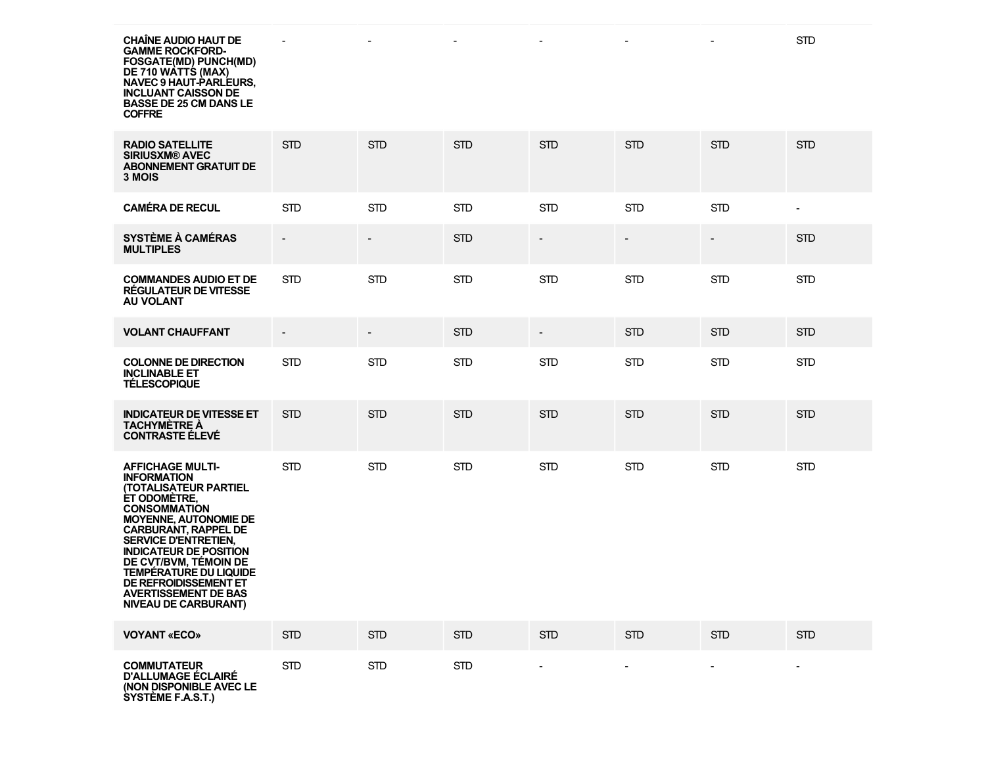**CHAÎNE AUDIO HAUT DE GAMME ROCKFORD-FOSGATE(MD) PUNCH(MD) DE 710 WATTS (MAX) NAVEC 9 HAUT-PARLEURS, INCLUANT CAISSON DE BASSE DE 25 CM DANS LE COFFRE**

| <b>RADIO SATELLITE</b><br><b>SIRIUSXM® AVEC</b><br><b>ABONNEMENT GRATUIT DE</b><br>3 MOIS                                                                                                                                                                                                                                                                                                                    | <b>STD</b>                   | <b>STD</b>               | <b>STD</b> | <b>STD</b>               | <b>STD</b>               | <b>STD</b>     | <b>STD</b>               |
|--------------------------------------------------------------------------------------------------------------------------------------------------------------------------------------------------------------------------------------------------------------------------------------------------------------------------------------------------------------------------------------------------------------|------------------------------|--------------------------|------------|--------------------------|--------------------------|----------------|--------------------------|
| <b>CAMÉRA DE RECUL</b>                                                                                                                                                                                                                                                                                                                                                                                       | <b>STD</b>                   | <b>STD</b>               | <b>STD</b> | <b>STD</b>               | <b>STD</b>               | <b>STD</b>     | $\sim$                   |
| <b>SYSTÈME À CAMÉRAS</b><br><b>MULTIPLES</b>                                                                                                                                                                                                                                                                                                                                                                 | $\qquad \qquad \blacksquare$ | $\overline{\phantom{a}}$ | <b>STD</b> | $\overline{\phantom{a}}$ | $\overline{\phantom{a}}$ | $\frac{1}{2}$  | <b>STD</b>               |
| <b>COMMANDES AUDIO ET DE</b><br>RÉGULATEUR DE VITESSE<br><b>AU VOLANT</b>                                                                                                                                                                                                                                                                                                                                    | <b>STD</b>                   | <b>STD</b>               | <b>STD</b> | <b>STD</b>               | <b>STD</b>               | <b>STD</b>     | <b>STD</b>               |
| <b>VOLANT CHAUFFANT</b>                                                                                                                                                                                                                                                                                                                                                                                      | $\overline{a}$               |                          | <b>STD</b> | $\overline{\phantom{a}}$ | <b>STD</b>               | <b>STD</b>     | <b>STD</b>               |
| <b>COLONNE DE DIRECTION</b><br><b>INCLINABLE ET</b><br><b>TÉLESCOPIQUE</b>                                                                                                                                                                                                                                                                                                                                   | <b>STD</b>                   | <b>STD</b>               | <b>STD</b> | <b>STD</b>               | <b>STD</b>               | <b>STD</b>     | <b>STD</b>               |
| <b>INDICATEUR DE VITESSE ET</b><br><b>TACHYMETRE A</b><br><b>CONTRASTE ELEVE</b>                                                                                                                                                                                                                                                                                                                             | <b>STD</b>                   | <b>STD</b>               | <b>STD</b> | <b>STD</b>               | <b>STD</b>               | <b>STD</b>     | <b>STD</b>               |
| <b>AFFICHAGE MULTI-</b><br><b>INFORMATION</b><br><b>(TOTALISATEUR PARTIEL)</b><br><b>ÉT ODOMÉTRE,</b><br><b>CONSOMMATION</b><br><b>MOYENNE, AUTONOMIE DE</b><br><b>CARBURANT, RAPPEL DE</b><br><b>SERVICE D'ENTRETIEN.</b><br><b>INDICATEUR DE POSITION</b><br>DE CVT/BVM, TÉMOIN DE<br><b>TEMPERATURE DU LIQUIDE</b><br>DE REFROIDISSEMENT ET<br><b>AVERTISSEMENT DE BAS</b><br><b>NIVEAU DE CARBURANT)</b> | <b>STD</b>                   | <b>STD</b>               | <b>STD</b> | <b>STD</b>               | <b>STD</b>               | <b>STD</b>     | <b>STD</b>               |
| <b>VOYANT «ECO»</b>                                                                                                                                                                                                                                                                                                                                                                                          | <b>STD</b>                   | <b>STD</b>               | <b>STD</b> | <b>STD</b>               | <b>STD</b>               | <b>STD</b>     | <b>STD</b>               |
| <b>COMMUTATEUR</b><br><b>D'ALLUMAGE ÉCLAIRÉ</b><br>(NON DISPONIBLE AVEC LE<br>SYSTÈME F.A.S.T.)                                                                                                                                                                                                                                                                                                              | <b>STD</b>                   | <b>STD</b>               | <b>STD</b> | $\blacksquare$           | $\blacksquare$           | $\blacksquare$ | $\overline{\phantom{a}}$ |

<u>starting the starting of the starting of the starting of the starting of the starting of the starting of the starting of the starting of the starting of the starting of the starting of the starting of the starting of the </u>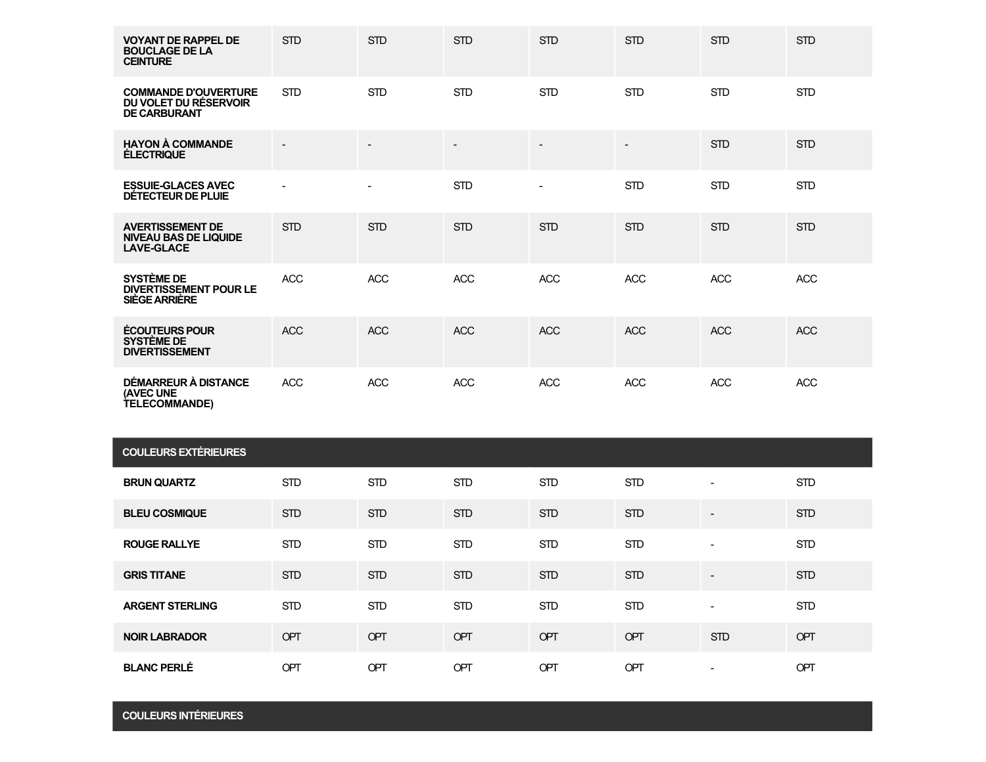| <b>VOYANT DE RAPPEL DE</b><br><b>BOUCLAGE DE LA</b><br><b>CEINTURE</b>       | <b>STD</b> | <b>STD</b> | <b>STD</b> | <b>STD</b>     | <b>STD</b>               | <b>STD</b> | <b>STD</b> |
|------------------------------------------------------------------------------|------------|------------|------------|----------------|--------------------------|------------|------------|
| <b>COMMANDE D'OUVERTURE</b><br>DU VOLET DU RÉSERVOIR<br><b>DE CARBURANT</b>  | <b>STD</b> | <b>STD</b> | <b>STD</b> | <b>STD</b>     | <b>STD</b>               | <b>STD</b> | <b>STD</b> |
| <b>HAYON À COMMANDE</b><br><b>ÉLECTRIQUE</b>                                 |            |            |            | $\blacksquare$ | $\overline{\phantom{a}}$ | <b>STD</b> | <b>STD</b> |
| <b>ESSUIE-GLACES AVEC</b><br>DÉTECTEUR DE PLUIE                              |            |            | <b>STD</b> | Ξ.             | <b>STD</b>               | <b>STD</b> | <b>STD</b> |
| <b>AVERTISSEMENT DE</b><br><b>NIVEAU BAS DE LIQUIDE</b><br><b>LAVE-GLACE</b> | <b>STD</b> | <b>STD</b> | <b>STD</b> | <b>STD</b>     | <b>STD</b>               | <b>STD</b> | <b>STD</b> |
| <b>SYSTÈME DE</b><br><b>DIVERTISSEMENT POUR LE</b><br><b>SIÈGE ARRIÈRE</b>   | <b>ACC</b> | <b>ACC</b> | <b>ACC</b> | <b>ACC</b>     | <b>ACC</b>               | <b>ACC</b> | <b>ACC</b> |
| <b>ÉCOUTEURS POUR</b><br><b>SYSTÈME DE</b><br><b>DIVERTISSEMENT</b>          | <b>ACC</b> | <b>ACC</b> | <b>ACC</b> | <b>ACC</b>     | <b>ACC</b>               | <b>ACC</b> | <b>ACC</b> |
| <b>DÉMARREUR À DISTANCE</b><br>(AVEC UNE<br><b>TELECOMMANDE)</b>             | <b>ACC</b> | <b>ACC</b> | ACC        | <b>ACC</b>     | ACC                      | <b>ACC</b> | ACC        |

| <b>COULEURS EXTÉRIEURES</b> |            |            |            |            |            |                          |            |  |  |  |
|-----------------------------|------------|------------|------------|------------|------------|--------------------------|------------|--|--|--|
| <b>BRUN QUARTZ</b>          | <b>STD</b> | <b>STD</b> | <b>STD</b> | <b>STD</b> | <b>STD</b> | $\blacksquare$           | <b>STD</b> |  |  |  |
| <b>BLEU COSMIQUE</b>        | <b>STD</b> | <b>STD</b> | <b>STD</b> | <b>STD</b> | <b>STD</b> | $\overline{\phantom{a}}$ | <b>STD</b> |  |  |  |
| <b>ROUGE RALLYE</b>         | <b>STD</b> | <b>STD</b> | <b>STD</b> | <b>STD</b> | <b>STD</b> | $\blacksquare$           | <b>STD</b> |  |  |  |
| <b>GRIS TITANE</b>          | <b>STD</b> | <b>STD</b> | <b>STD</b> | <b>STD</b> | <b>STD</b> | $\overline{\phantom{a}}$ | <b>STD</b> |  |  |  |
| <b>ARGENT STERLING</b>      | <b>STD</b> | <b>STD</b> | <b>STD</b> | <b>STD</b> | <b>STD</b> | $\blacksquare$           | <b>STD</b> |  |  |  |
| <b>NOIR LABRADOR</b>        | OPT        | OPT        | OPT        | OPT        | OPT        | <b>STD</b>               | <b>OPT</b> |  |  |  |
| <b>BLANC PERLÉ</b>          | OPT        | OPT        | OPT        | OPT        | OPT        | $\overline{\phantom{a}}$ | OPT        |  |  |  |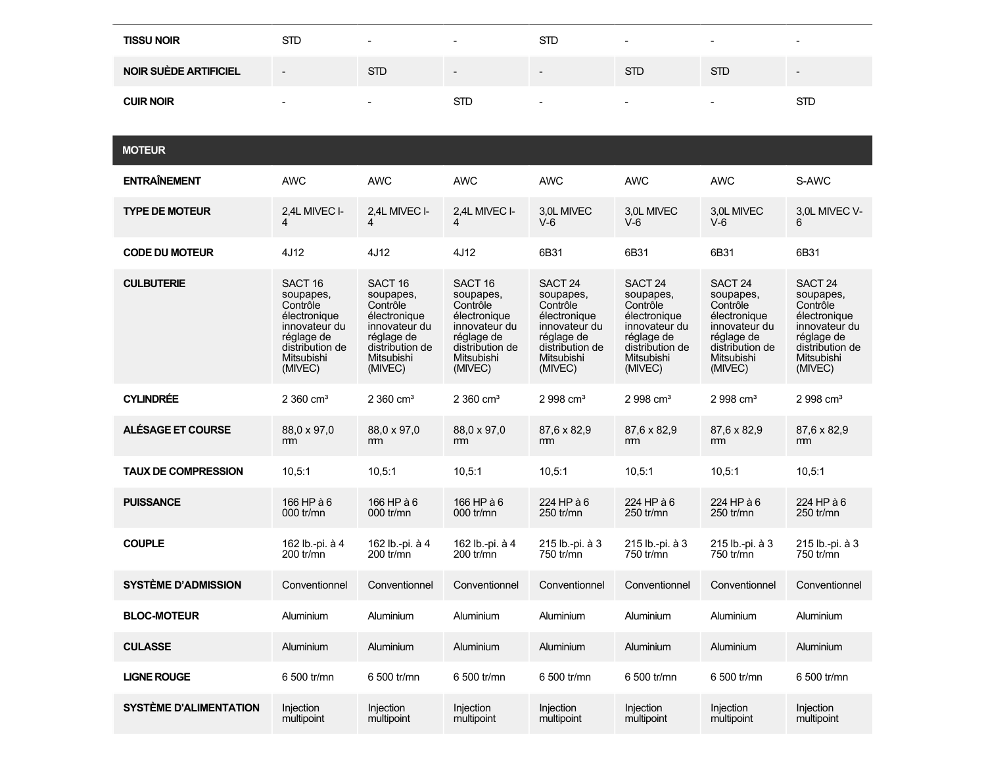| <b>TISSU NOIR</b>            | <b>STD</b>               |            | . .                      | STD                      | $\sim$                   |            | $\sim$                   |
|------------------------------|--------------------------|------------|--------------------------|--------------------------|--------------------------|------------|--------------------------|
| <b>NOIR SUÈDE ARTIFICIEL</b> | $\overline{\phantom{0}}$ | <b>STD</b> | $\overline{\phantom{0}}$ | $\overline{\phantom{0}}$ | <b>STD</b>               | <b>STD</b> | $\overline{\phantom{0}}$ |
| <b>CUIR NOIR</b>             | $\overline{\phantom{a}}$ | -          | <b>STD</b>               |                          | $\overline{\phantom{a}}$ |            | STD                      |

**MOTEUR**

| <b>ENTRAÎNEMENT</b>           | <b>AWC</b>                                                                                                                             | <b>AWC</b>                                                                                                                             | <b>AWC</b>                                                                                                                             | <b>AWC</b>                                                                                                                             | <b>AWC</b>                                                                                                                             | <b>AWC</b>                                                                                                                             | S-AWC                                                                                                                                  |
|-------------------------------|----------------------------------------------------------------------------------------------------------------------------------------|----------------------------------------------------------------------------------------------------------------------------------------|----------------------------------------------------------------------------------------------------------------------------------------|----------------------------------------------------------------------------------------------------------------------------------------|----------------------------------------------------------------------------------------------------------------------------------------|----------------------------------------------------------------------------------------------------------------------------------------|----------------------------------------------------------------------------------------------------------------------------------------|
| <b>TYPE DE MOTEUR</b>         | 2.4L MIVEC I-                                                                                                                          | 2,4L MIVEC I-                                                                                                                          | 2,4L MIVEC I-                                                                                                                          | 3.0L MIVEC<br>$V-6$                                                                                                                    | 3.0L MIVEC<br>$V-6$                                                                                                                    | 3.0L MIVEC<br>$V-6$                                                                                                                    | 3.0L MIVEC V-<br>6                                                                                                                     |
| <b>CODE DU MOTEUR</b>         | 4J12                                                                                                                                   | 4J12                                                                                                                                   | 4J12                                                                                                                                   | 6B31                                                                                                                                   | 6B31                                                                                                                                   | 6B31                                                                                                                                   | 6B31                                                                                                                                   |
| <b>CULBUTERIE</b>             | SACT <sub>16</sub><br>soupapes,<br>Contrôle<br>électronique<br>innovateur du<br>réglage de<br>distribution de<br>Mitsubishi<br>(MIVEC) | SACT <sub>16</sub><br>soupapes,<br>Contrôle<br>électronique<br>innovateur du<br>réglage de<br>distribution de<br>Mitsubishi<br>(MIVEC) | SACT <sub>16</sub><br>soupapes,<br>Contrôle<br>électronique<br>innovateur du<br>réglage de<br>distribution de<br>Mitsubishi<br>(MIVEC) | SACT <sub>24</sub><br>soupapes,<br>Contrôle<br>électronique<br>innovateur du<br>réglage de<br>distribution de<br>Mitsubishi<br>(MIVEC) | SACT <sub>24</sub><br>soupapes,<br>Contrôle<br>électronique<br>innovateur du<br>réglage de<br>distribution de<br>Mitsubishi<br>(MIVEC) | SACT <sub>24</sub><br>soupapes,<br>Contrôle<br>électronique<br>innovateur du<br>réglage de<br>distribution de<br>Mitsubishi<br>(MIVEC) | SACT <sub>24</sub><br>soupapes,<br>Contrôle<br>électronique<br>innovateur du<br>réglage de<br>distribution de<br>Mitsubishi<br>(MIVEC) |
| <b>CYLINDRÉE</b>              | $2360 \text{ cm}^3$                                                                                                                    | $2360 \text{ cm}^3$                                                                                                                    | $2360 \text{ cm}^3$                                                                                                                    | $2998 \text{ cm}^3$                                                                                                                    | $2998 \text{ cm}^3$                                                                                                                    | $2998 \text{ cm}^3$                                                                                                                    | $2998 \text{ cm}^3$                                                                                                                    |
| ALÉSAGE ET COURSE             | 88,0 x 97,0<br>m <sub>m</sub>                                                                                                          | 88.0 x 97.0<br><sub>m</sub>                                                                                                            | 88,0 x 97,0<br>mm                                                                                                                      | 87,6 x 82,9<br>m <sub>m</sub>                                                                                                          | 87.6 x 82.9<br><sub>m</sub>                                                                                                            | 87.6 x 82.9<br>m                                                                                                                       | 87.6 x 82,9<br><sub>mm</sub>                                                                                                           |
| <b>TAUX DE COMPRESSION</b>    | 10.5:1                                                                                                                                 | 10.5:1                                                                                                                                 | 10, 5:1                                                                                                                                | 10, 5:1                                                                                                                                | 10.5:1                                                                                                                                 | 10.5:1                                                                                                                                 | 10.5.1                                                                                                                                 |
| <b>PUISSANCE</b>              | 166 HP à 6<br>000 tr/mn                                                                                                                | 166 HP à 6<br>000 tr/mn                                                                                                                | 166 HP à 6<br>000 $tr/mn$                                                                                                              | 224 HP à 6<br>$250$ tr/mn                                                                                                              | 224 HP à 6<br>$250$ tr/mn                                                                                                              | 224 HP à 6<br>$250$ tr/mn                                                                                                              | 224 HP à 6<br>250 tr/mn                                                                                                                |
| <b>COUPLE</b>                 | 162 lb.-pi. à 4<br>$200$ tr/mn                                                                                                         | 162 lb.-pi. à 4<br>200 tr/mn                                                                                                           | 162 lb.-pi. à 4<br>$200$ tr/mn                                                                                                         | 215 lb.-pi. à 3<br>750 tr/mn                                                                                                           | 215 lb.-pi. à 3<br>750 tr/mn                                                                                                           | 215 lb.-pi. à 3<br>750 tr/mn                                                                                                           | 215 lb.-pi. à 3<br>750 tr/mn                                                                                                           |
| <b>SYSTÈME D'ADMISSION</b>    | Conventionnel                                                                                                                          | Conventionnel                                                                                                                          | Conventionnel                                                                                                                          | Conventionnel                                                                                                                          | Conventionnel                                                                                                                          | Conventionnel                                                                                                                          | Conventionnel                                                                                                                          |
| <b>BLOC-MOTEUR</b>            | Aluminium                                                                                                                              | Aluminium                                                                                                                              | Aluminium                                                                                                                              | Aluminium                                                                                                                              | Aluminium                                                                                                                              | Aluminium                                                                                                                              | Aluminium                                                                                                                              |
| <b>CULASSE</b>                | Aluminium                                                                                                                              | Aluminium                                                                                                                              | Aluminium                                                                                                                              | Aluminium                                                                                                                              | Aluminium                                                                                                                              | Aluminium                                                                                                                              | Aluminium                                                                                                                              |
| <b>LIGNE ROUGE</b>            | 6 500 tr/mn                                                                                                                            | 6 500 tr/mn                                                                                                                            | 6 500 tr/mn                                                                                                                            | 6 500 tr/mn                                                                                                                            | 6 500 tr/mn                                                                                                                            | 6 500 tr/mn                                                                                                                            | 6 500 tr/mn                                                                                                                            |
| <b>SYSTÈME D'ALIMENTATION</b> | Injection<br>multipoint                                                                                                                | Injection<br>multipoint                                                                                                                | Injection<br>multipoint                                                                                                                | Injection<br>multipoint                                                                                                                | Injection<br>multipoint                                                                                                                | Injection<br>multipoint                                                                                                                | Injection<br>multipoint                                                                                                                |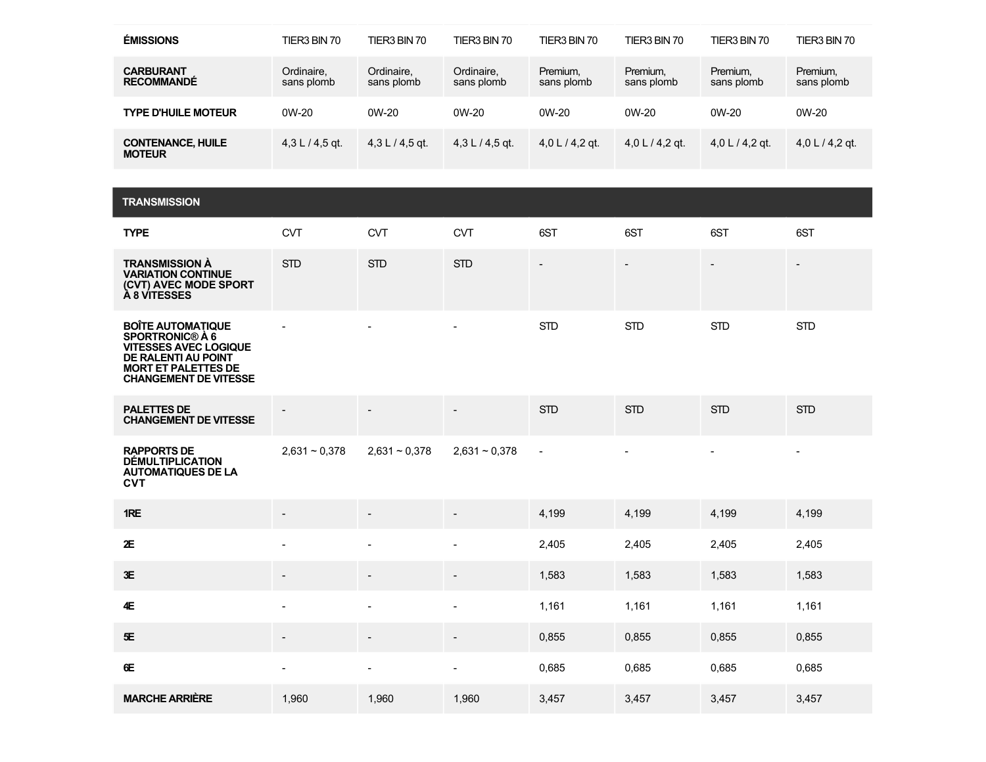| <b>ÉMISSIONS</b>                          | TIER3 BIN 70             | TIER3 BIN 70             | TIER3 BIN 70             | TIER3 BIN 70           | TIER3 BIN 70           | TIER3 BIN 70           | TIER3 BIN 70           |
|-------------------------------------------|--------------------------|--------------------------|--------------------------|------------------------|------------------------|------------------------|------------------------|
| <b>CARBURANT</b><br><b>RECOMMANDE</b>     | Ordinaire.<br>sans plomb | Ordinaire.<br>sans plomb | Ordinaire,<br>sans plomb | Premium,<br>sans plomb | Premium,<br>sans plomb | Premium,<br>sans plomb | Premium,<br>sans plomb |
| <b>TYPE D'HUILE MOTEUR</b>                | $0W-20$                  | $0W-20$                  | $0W-20$                  | $0W-20$                | $0W-20$                | $0W-20$                | 0W-20                  |
| <b>CONTENANCE, HUILE</b><br><b>MOTEUR</b> | $4.3 L/4.5$ at           | $4.3 L / 4.5$ gt.        | $4.3 L / 4.5$ gt.        | 4,0 L $/$ 4,2 gt.      | 4,0 L $/$ 4,2 gt.      | $4.0 L / 4.2$ gt.      | 4,0 L $/$ 4,2 gt.      |

| <b>TRANSMISSION</b>                                                                                                                                                            |                          |                          |                          |                          |                          |                          |                          |
|--------------------------------------------------------------------------------------------------------------------------------------------------------------------------------|--------------------------|--------------------------|--------------------------|--------------------------|--------------------------|--------------------------|--------------------------|
| <b>TYPE</b>                                                                                                                                                                    | <b>CVT</b>               | <b>CVT</b>               | <b>CVT</b>               | 6ST                      | 6ST                      | 6ST                      | 6ST                      |
| <b>TRANSMISSION À</b><br><b>VARIATION CONTINUE</b><br>(CVT) AVEC MODE SPORT<br>À 8 VITESSES                                                                                    | <b>STD</b>               | <b>STD</b>               | <b>STD</b>               | $\overline{\phantom{a}}$ | $\overline{\phantom{a}}$ | $\overline{\phantom{a}}$ | $\overline{\phantom{a}}$ |
| <b>BOITE AUTOMATIQUE</b><br><b>SPORTRONIC® À 6</b><br><b>VITESSES AVEC LOGIQUE</b><br><b>DE RALENTI AU POINT</b><br><b>MORT ET PALETTES DE</b><br><b>CHANGEMENT DE VITESSE</b> |                          |                          | $\blacksquare$           | <b>STD</b>               | <b>STD</b>               | <b>STD</b>               | <b>STD</b>               |
| <b>PALETTES DE</b><br><b>CHANGEMENT DE VITESSE</b>                                                                                                                             |                          |                          | $\overline{\phantom{a}}$ | <b>STD</b>               | <b>STD</b>               | <b>STD</b>               | <b>STD</b>               |
| <b>RAPPORTS DE</b><br><b>DÉMULTIPLICATION</b><br><b>AUTOMATIQUES DE LA</b><br><b>CVT</b>                                                                                       | $2,631 - 0,378$          | $2,631 - 0,378$          | $2,631 - 0,378$          | $\blacksquare$           | $\blacksquare$           | $\blacksquare$           | $\blacksquare$           |
| 1RE                                                                                                                                                                            | $\overline{\phantom{a}}$ |                          |                          | 4,199                    | 4,199                    | 4,199                    | 4,199                    |
| 2E                                                                                                                                                                             | $\sim$                   | $\overline{\phantom{a}}$ | $\overline{\phantom{a}}$ | 2,405                    | 2,405                    | 2,405                    | 2,405                    |
| 3E                                                                                                                                                                             | $\overline{\phantom{a}}$ |                          | $\overline{\phantom{a}}$ | 1,583                    | 1,583                    | 1,583                    | 1,583                    |
| 4E                                                                                                                                                                             | $\sim$                   | $\blacksquare$           | $\overline{\phantom{a}}$ | 1,161                    | 1,161                    | 1,161                    | 1,161                    |
| 5E                                                                                                                                                                             |                          |                          | $\overline{a}$           | 0,855                    | 0,855                    | 0,855                    | 0,855                    |
| 6E                                                                                                                                                                             | $\blacksquare$           | $\blacksquare$           | $\blacksquare$           | 0,685                    | 0,685                    | 0.685                    | 0,685                    |
| <b>MARCHE ARRIÈRE</b>                                                                                                                                                          | 1,960                    | 1,960                    | 1,960                    | 3,457                    | 3,457                    | 3,457                    | 3,457                    |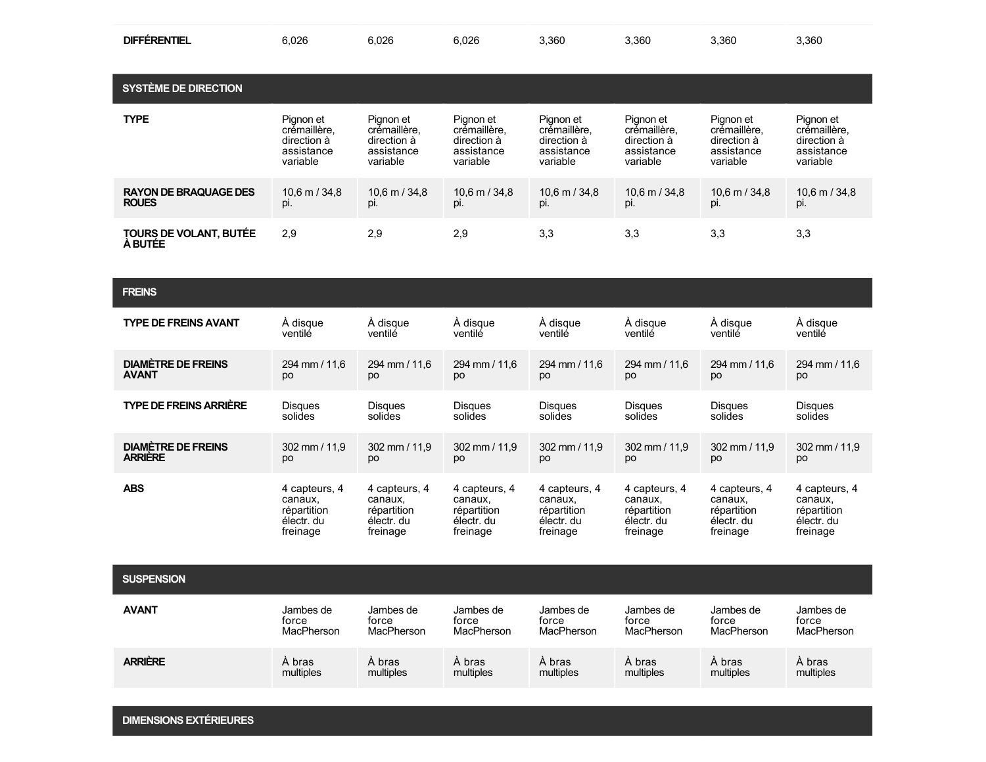| <b>DIFFÉRENTIEL</b> | 6,026<br>$ -$ | 6.026 | 6,026 | 3,360 | 3.360 | 3.360 | 3,360 |
|---------------------|---------------|-------|-------|-------|-------|-------|-------|
|                     |               |       |       |       |       |       |       |

| <b>SYSTÈME DE DIRECTION</b>              |                   |                   |                         |                   |                   |                   |                   |
|------------------------------------------|-------------------|-------------------|-------------------------|-------------------|-------------------|-------------------|-------------------|
| <b>TYPE</b>                              | Pignon et         | Pianon et         | Pianon et               | Pianon et         | Pianon et         | Pianon et         | Pignon et         |
|                                          | crémaillère.      | crémaillère.      | crémaillère.            | crémaillère,      | crémaillère.      | crémaillère.      | crémaillère.      |
|                                          | direction à       | direction à       | direction à             | direction à       | direction à       | direction à       | direction à       |
|                                          | assistance        | assistance        | assistance              | assistance        | assistance        | assistance        | assistance        |
|                                          | variable          | variable          | variable                | variable          | variable          | variable          | variable          |
| <b>RAYON DE BRAQUAGE DES</b>             | $10.6$ m $/$ 34.8 | $10.6$ m $/$ 34.8 | $10,6 \text{ m} / 34,8$ | $10.6$ m $/$ 34.8 | $10.6$ m $/$ 34.8 | $10.6$ m $/$ 34.8 | $10.6$ m $/$ 34.8 |
| <b>ROUES</b>                             | Dİ.               | pi.               | DI.                     | рi.               | Dİ.               | pi.               | pi.               |
| TOURS DE VOLANT, BUTÉE<br><b>A BUTÉE</b> | 2.9               | 2,9               | 2,9                     | 3,3               | 3,3               | 3,3               | 3,3               |

| <b>FREINS</b>                 |                           |                |                |                           |                           |                           |                |
|-------------------------------|---------------------------|----------------|----------------|---------------------------|---------------------------|---------------------------|----------------|
| <b>TYPE DE FREINS AVANT</b>   | A disque                  | À disque       | À disque       | A disque                  | À disque                  | À disque                  | A disque       |
|                               | ventilé                   | ventilé        | ventilé        | ventilé                   | ventilé                   | ventilé                   | ventilé        |
| <b>DIAMÈTRE DE FREINS</b>     | 294 mm / 11,6             | 294 mm / 11,6  | 294 mm / 11,6  | 294 mm / 11.6             | 294 mm / 11,6             | 294 mm / 11,6             | 294 mm / 11,6  |
| <b>AVANT</b>                  | po                        | po             | po             | po                        | po                        | po                        | po             |
| <b>TYPE DE FREINS ARRIÈRE</b> | <b>Disques</b>            | <b>Disques</b> | <b>Disques</b> | <b>Disques</b>            | <b>Disques</b>            | <b>Disques</b>            | <b>Disques</b> |
|                               | solides                   | solides        | solides        | solides                   | solides                   | solides                   | solides        |
| <b>DIAMÈTRE DE FREINS</b>     | $302 \, \text{mm}$ / 11.9 | 302 mm / 11,9  | 302 mm / 11,9  | $302 \, \text{mm} / 11.9$ | $302 \, \text{mm}$ / 11,9 | $302 \, \text{mm}$ / 11,9 | 302 mm / 11,9  |
| <b>ARRIERE</b>                | po                        | po             | po             | po                        | po                        | po                        | po             |
| <b>ABS</b>                    | 4 capteurs, 4             | 4 capteurs, 4  | 4 capteurs, 4  | 4 capteurs, 4             | 4 capteurs, 4             | 4 capteurs, 4             | 4 capteurs, 4  |
|                               | canaux,                   | canaux,        | canaux,        | canaux,                   | canaux,                   | canaux,                   | canaux,        |
|                               | répartition               | répartition    | répartition    | répartition               | répartition               | répartition               | répartition    |
|                               | électr. du                | électr. du     | électr. du     | électr. du                | électr. du                | électr. du                | électr. du     |
|                               | freinage                  | freinage       | freinage       | freinage                  | freinage                  | freinage                  | freinage       |

**SUSPENSION**

| <b>AVANT</b>   | Jambes de  | Jambes de  | Jambes de  | Jambes de  | Jambes de  | Jambes de  | Jambes de  |
|----------------|------------|------------|------------|------------|------------|------------|------------|
|                | torce      | force      | force      | force      | force      | force      | force      |
|                | MacPherson | MacPherson | MacPherson | MacPherson | MacPherson | MacPherson | MacPherson |
| <b>ARRIÈRE</b> | A bras     | A bras     | A bras     | A bras     | A bras     | A bras     | A bras     |
|                | multiples  | multiples  | multiples  | multiples  | multiples  | multiples  | multiples  |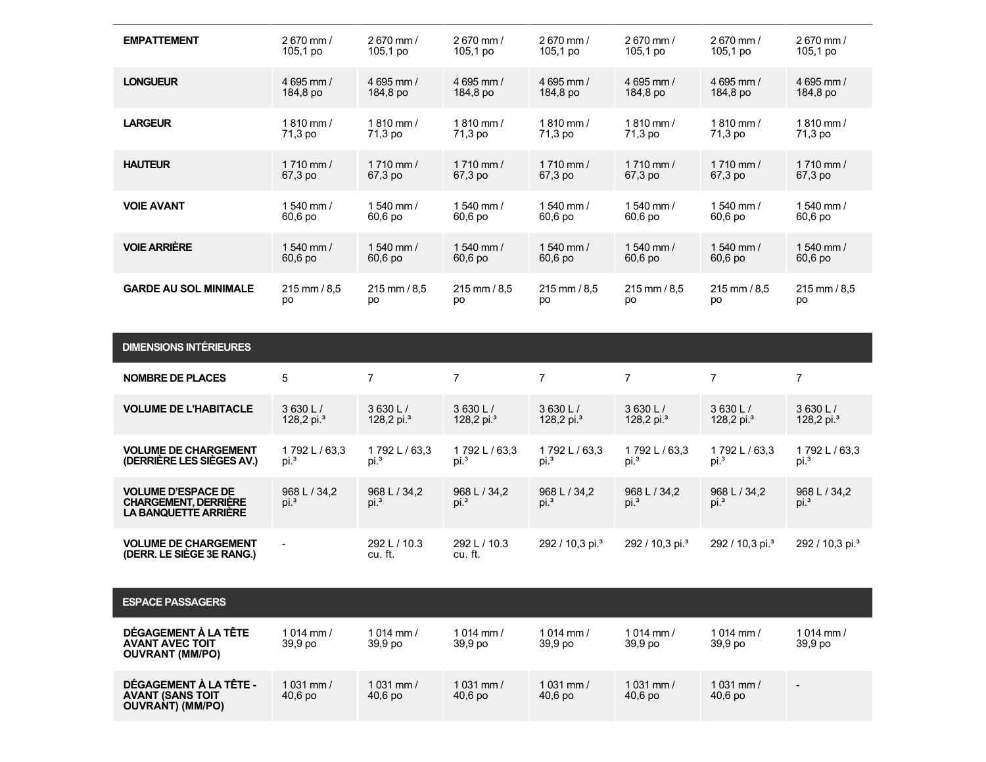| <b>EMPATTEMENT</b>                                                                      | 2670 mm /                        | 2670 mm /              | 2670 mm /                        | 2670 mm /                        | 2670 mm /                        | 2670 mm /                        | 2670 mm /                        |
|-----------------------------------------------------------------------------------------|----------------------------------|------------------------|----------------------------------|----------------------------------|----------------------------------|----------------------------------|----------------------------------|
|                                                                                         | $105,1$ po                       | $105,1$ po             | 105,1 po                         | 105,1 po                         | $105.1$ po                       | $105,1$ po                       | 105,1 po                         |
| <b>LONGUEUR</b>                                                                         | 4 695 mm /                       | 4 695 mm /             | 4 695 mm /                       | 4 695 mm /                       | 4 695 mm /                       | 4 695 mm /                       | 4 695 mm /                       |
|                                                                                         | 184,8 po                         | 184,8 po               | 184,8 po                         | 184,8 po                         | 184,8 po                         | 184,8 po                         | 184,8 po                         |
| <b>LARGEUR</b>                                                                          | $1810$ mm $/$                    | $1810$ mm $/$          | 1810 mm /                        | $1810$ mm /                      | $1810$ mm /                      | $1810$ mm $/$                    | $1810$ mm /                      |
|                                                                                         | 71,3 po                          | 71,3 po                | 71,3 po                          | 71,3 po                          | 71,3 po                          | 71,3 po                          | 71,3 po                          |
| <b>HAUTEUR</b>                                                                          | $1710$ mm $/$                    | $1710$ mm /            | $1710$ mm $/$                    | $1710$ mm $/$                    | $1710$ mm /                      | $1710$ mm /                      | $1710$ mm /                      |
|                                                                                         | 67,3 po                          | 67,3 po                | 67,3 po                          | 67,3 po                          | 67,3 po                          | 67,3 po                          | 67,3 po                          |
| <b>VOIE AVANT</b>                                                                       | $1540$ mm $/$                    | 1540 mm /              | 1540 mm /                        | $1540$ mm $/$                    | $1540$ mm $/$                    | 1540 mm /                        | $1540$ mm $/$                    |
|                                                                                         | 60,6 po                          | 60,6 po                | 60,6 po                          | 60,6 po                          | 60,6 po                          | 60,6 po                          | 60,6 po                          |
| <b>VOIE ARRIÈRE</b>                                                                     | 1540 mm /                        | 1 540 mm /             | 1540 mm /                        | 1540 mm /                        | $1540$ mm $/$                    | 1540 mm /                        | $1540$ mm /                      |
|                                                                                         | 60,6 po                          | 60,6 po                | 60,6 po                          | 60,6 po                          | 60,6 po                          | 60,6 po                          | 60,6 po                          |
| <b>GARDE AU SOL MINIMALE</b>                                                            | 215 mm / 8.5                     | 215 mm / 8.5           | 215 mm / 8.5                     | 215 mm / 8,5                     | 215 mm / 8.5                     | 215 mm / 8.5                     | 215 mm / 8.5                     |
|                                                                                         | po                               | po                     | po                               | po                               | DО                               | po                               | po                               |
|                                                                                         |                                  |                        |                                  |                                  |                                  |                                  |                                  |
| <b>DIMENSIONS INTÉRIEURES</b>                                                           |                                  |                        |                                  |                                  |                                  |                                  |                                  |
| <b>NOMBRE DE PLACES</b>                                                                 | 5                                | $\overline{7}$         | $\overline{7}$                   | $\overline{7}$                   | $\overline{7}$                   | $\overline{7}$                   | $\overline{7}$                   |
| <b>VOLUME DE L'HABITACLE</b>                                                            | 3630 L/                          | 3630 L/                | 3630 L/                          | 3630 L/                          | 3630 L/                          | 3630 L/                          | 3630 L/                          |
|                                                                                         | 128,2 pi. $3$                    | 128,2 pi. $3$          | 128,2 pi. <sup>3</sup>           | 128,2 pi. $3$                    | 128,2 pi. $3$                    | 128,2 pi. $3$                    | 128,2 pi. $3$                    |
| <b>VOLUME DE CHARGEMENT</b>                                                             | 1792L/63,3                       | 1792L/63,3             | 1792L/63,3                       | 1792L/63,3                       | 1792L/63,3                       | 1792L/63,3                       | 1792L/63,3                       |
| (DERRIÈRE LES SIÈGES AV.)                                                               | Di. <sup>3</sup>                 | pi. <sup>3</sup>       | pi. <sup>3</sup>                 | $pi^3$                           | pi. <sup>3</sup>                 | Di. <sup>3</sup>                 | pi. <sup>3</sup>                 |
| <b>VOLUME D'ESPACE DE</b><br><b>CHARGEMENT, DERRIÈRE</b><br><b>LA BANQUETTE ARRIERE</b> | 968 L / 34.2<br>pi. <sup>3</sup> | 968 L / 34,2<br>$pi^3$ | 968 L / 34.2<br>pi. <sup>3</sup> | 968 L / 34,2<br>pi. <sup>3</sup> | 968 L / 34.2<br>pi. <sup>3</sup> | 968 L / 34,2<br>pi. <sup>3</sup> | 968 L / 34.2<br>pi. <sup>3</sup> |

| <b>ESPACE PASSAGERS</b>                                                      |                          |                                    |                                     |                                     |                                     |                                   |                          |
|------------------------------------------------------------------------------|--------------------------|------------------------------------|-------------------------------------|-------------------------------------|-------------------------------------|-----------------------------------|--------------------------|
| DÉGAGEMENT À LA TÊTE<br><b>AVANT AVEC TOIT</b><br><b>OUVRANT (MM/PO)</b>     | 1 014 mm /<br>39,9 po    | 1 014 mm $/$<br>39.9 <sub>po</sub> | 1014 mm /<br>39.9 <sub>po</sub>     | 1014 mm $/$<br>39,9 po              | 1014 mm /<br>39.9 <sub>po</sub>     | 1014 mm $/$<br>39.9 <sub>po</sub> | $1014$ mm /<br>39,9 po   |
| DÉGAGEMENT À LA TÊTE -<br><b>AVANT (SANS TOIT</b><br><b>OUVRANT) (MM/PO)</b> | 1 0 31 mm $/$<br>40,6 po | 1031 mm /<br>40,6 po               | 1 0 31 mm $/$<br>40.6 <sub>po</sub> | 1 0 31 mm $/$<br>40.6 <sub>po</sub> | 1 0 31 mm $/$<br>40.6 <sub>po</sub> | $1031$ mm /<br>$40,6$ po          | $\overline{\phantom{0}}$ |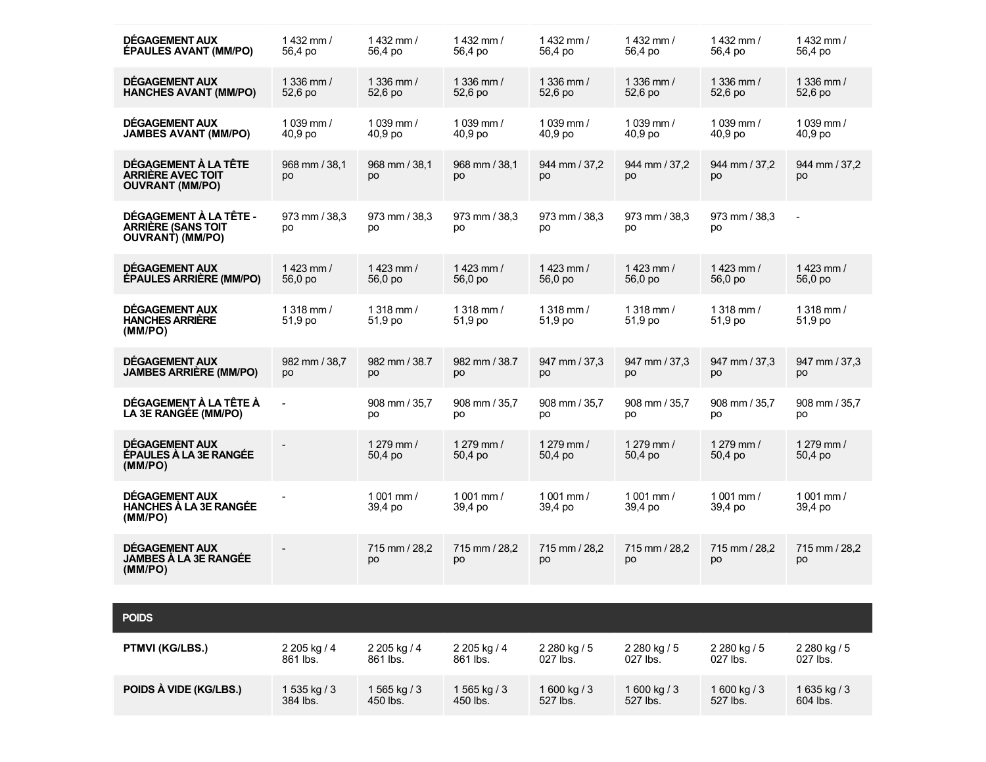| DÉGAGEMENT AUX                                                             | $1432$ mm $/$            | $1432$ mm $/$            | 1432 mm $/$              | $1432$ mm $/$            | $1432$ mm $/$            | $1432$ mm $/$            | $1432$ mm $/$            |
|----------------------------------------------------------------------------|--------------------------|--------------------------|--------------------------|--------------------------|--------------------------|--------------------------|--------------------------|
| <b>ÉPAULES AVANT (MM/PO)</b>                                               | 56,4 po                  | 56,4 po                  | 56,4 po                  | 56,4 po                  | 56,4 po                  | 56,4 po                  | 56,4 po                  |
| DÉGAGEMENT AUX                                                             | 1 336 mm $/$             | 1 336 mm $/$             | 1 336 mm $/$             | 1 336 mm $/$             | 1 336 mm $/$             | 1 336 mm $/$             | 1 336 mm $/$             |
| <b>HANCHES AVANT (MM/PO)</b>                                               | 52,6 po                  | 52,6 po                  | 52,6 po                  | 52.6 po                  | 52,6 po                  | 52,6 po                  | 52,6 po                  |
| DÉGAGEMENT AUX                                                             | 1 039 mm /               | 1 039 mm /               | 1039 mm /                | 1039 mm /                | 1 039 mm /               | 1039 mm /                | $1039$ mm /              |
| <b>JAMBES AVANT (MM/PO)</b>                                                | 40.9 <sub>po</sub>       | 40.9 <sub>po</sub>       | 40.9 <sub>po</sub>       | 40.9 <sub>po</sub>       | 40,9 po                  | 40,9 po                  | 40.9 <sub>po</sub>       |
| DÉGAGEMENT À LA TÊTE<br><b>ARRIERE AVEC TOIT</b><br><b>OUVRANT (MM/PO)</b> | 968 mm / 38,1<br>po      | 968 mm / 38.1<br>po      | 968 mm / 38.1<br>po      | 944 mm / 37,2<br>po      | 944 mm / 37.2<br>po      | 944 mm / 37,2<br>po      | 944 mm / 37,2<br>po      |
| DÉGAGEMENT À LA TÊTE -<br><b>ARRIÈRE (SANS TOIT</b><br>OUVRANT) (MM/PO)    | 973 mm / 38.3<br>po      | 973 mm / 38,3<br>po      | 973 mm / 38.3<br>po      | 973 mm / 38.3<br>po      | 973 mm / 38.3<br>po      | 973 mm / 38.3<br>po      | $\overline{\phantom{a}}$ |
| DÉGAGEMENT AUX                                                             | $1423$ mm $/$            | $1423$ mm $/$            | $1423$ mm $/$            | $1423$ mm $/$            | $1423$ mm $/$            | $1423$ mm $/$            | 1423 mm $/$              |
| <b>ÉPAULES ARRIÈRE (MM/PO)</b>                                             | 56.0 po                  | 56,0 po                  | 56,0 po                  | 56.0 po                  | 56,0 po                  | 56.0 po                  | 56,0 po                  |
| DÉGAGEMENT AUX<br><b>HANCHES ARRIÈRE</b><br>(MM/PO)                        | $1318$ mm /<br>51,9 po   | $1318$ mm /<br>51,9 po   | $1318$ mm /<br>51,9 po   | $1318$ mm /<br>51,9 po   | $1318$ mm /<br>51,9 po   | $1318$ mm /<br>51,9 po   | $1318$ mm /<br>51,9 po   |
| DÉGAGEMENT AUX                                                             | 982 mm / 38,7            | 982 mm / 38.7            | 982 mm / 38.7            | 947 mm / 37,3            | 947 mm / 37,3            | 947 mm / 37,3            | 947 mm / 37,3            |
| <b>JAMBES ARRIÈRE (MM/PO)</b>                                              | po                       | po                       | po                       | po                       | po                       | po                       | po                       |
| DÉGAGEMENT À LA TÊTE À                                                     | $\overline{\phantom{a}}$ | 908 mm / 35.7            | 908 mm / 35.7            | 908 mm / 35.7            | 908 mm / 35.7            | 908 mm / 35.7            | 908 mm / 35.7            |
| LA 3E RANGÉE (MM/PO)                                                       |                          | po                       | po                       | po                       | po                       | po                       | po                       |
| DÉGAGEMENT AUX<br>ÉPAULES À LA 3E RANGÉE<br>(MM/PO)                        |                          | $1279$ mm $/$<br>50,4 po | $1279$ mm $/$<br>50,4 po | $1279$ mm $/$<br>50,4 po | 1 279 mm /<br>50,4 po    | 1 279 mm $/$<br>50,4 po  | 1 279 mm $/$<br>50,4 po  |
| <b>DÉGAGEMENT AUX</b><br><b>HANCHES À LA 3E RANGÉE</b><br>(MM/PO)          |                          | $1001$ mm $/$<br>39,4 po | $1001$ mm $/$<br>39,4 po | $1001$ mm $/$<br>39,4 po | $1001$ mm $/$<br>39,4 po | $1001$ mm $/$<br>39,4 po | $1001$ mm $/$<br>39,4 po |
| DÉGAGEMENT AUX<br><b>JAMBES A LA 3E RANGÉE</b><br>(MM/PO)                  |                          | 715 mm / 28.2<br>po      | 715 mm / 28,2<br>po      | 715 mm / 28,2<br>po      | 715 mm / 28.2<br>po      | 715 mm / 28,2<br>po      | 715 mm / 28,2<br>po      |

| <b>POIDS</b>           |              |              |              |              |              |              |              |
|------------------------|--------------|--------------|--------------|--------------|--------------|--------------|--------------|
| PTMVI (KG/LBS.)        | 2 205 kg / 4 | 2 205 kg / 4 | 2 205 kg / 4 | 2 280 kg / 5 | 2 280 kg / 5 | 2 280 kg / 5 | 2 280 kg / 5 |
|                        | 861 lbs.     | 861 lbs.     | 861 lbs.     | 027 lbs.     | 027 lbs.     | $027$ lbs.   | $027$ lbs.   |
| POIDS À VIDE (KG/LBS.) | 1 535 kg / 3 | 1 565 kg / 3 | 1 565 kg / 3 | 1 600 kg / 3 | 1 600 kg / 3 | 1 600 kg / 3 | 1 635 kg / 3 |
|                        | 384 lbs.     | 450 lbs.     | 450 lbs.     | 527 lbs.     | 527 lbs.     | 527 lbs.     | 604 lbs.     |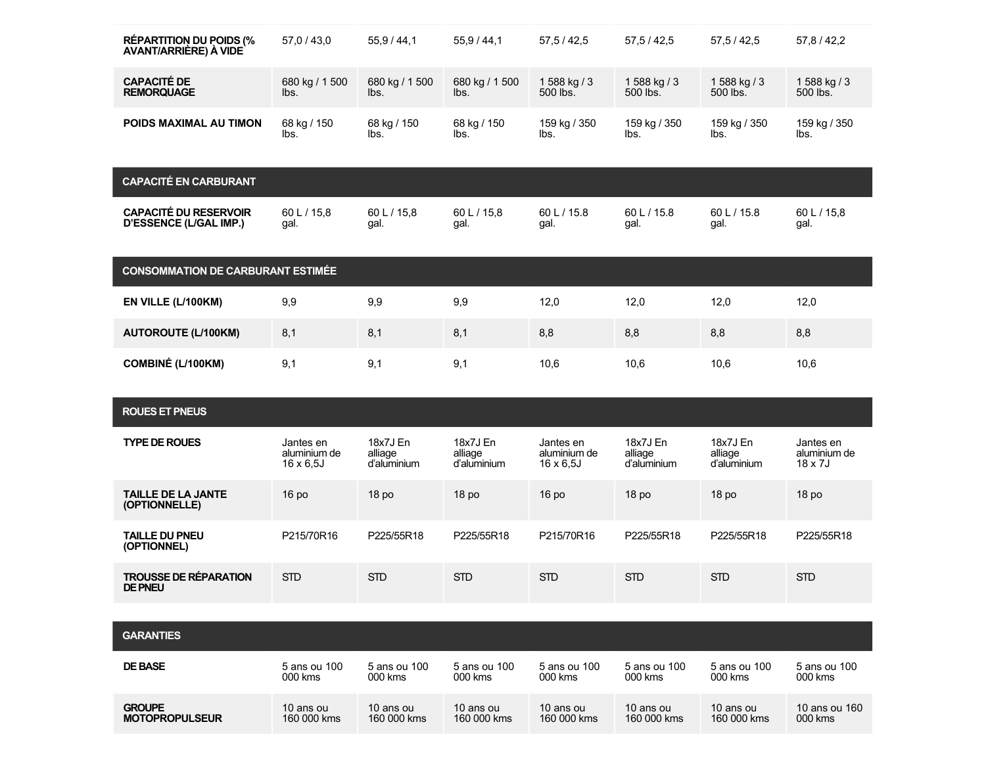| <b>RÉPARTITION DU POIDS (%</b><br><b>AVANT/ARRIERE) A VIDE</b> | 57,0/43,0                                      | 55.9/44.1                          | 55,9/44,1                          | 57,5/42,5                                      | 57,5/42,5                          | 57, 5 / 42, 5                      | 57,8 / 42,2                          |
|----------------------------------------------------------------|------------------------------------------------|------------------------------------|------------------------------------|------------------------------------------------|------------------------------------|------------------------------------|--------------------------------------|
| <b>CAPACITÉ DE</b><br><b>REMORQUAGE</b>                        | 680 kg / 1500<br>lbs.                          | 680 kg / 1500<br>lbs.              | 680 kg / 1500<br>lbs.              | 1 588 kg / 3<br>500 lbs.                       | 1 588 kg / 3<br>500 lbs.           | 1 588 kg / 3<br>500 lbs.           | 1 588 kg / 3<br>500 lbs.             |
| POIDS MAXIMAL AU TIMON                                         | 68 kg / 150<br>lbs.                            | 68 kg / 150<br>lbs.                | 68 kg / 150<br>lbs.                | 159 kg / 350<br>lbs.                           | 159 kg / 350<br>lbs.               | 159 kg / 350<br>lbs.               | 159 kg / 350<br>lbs.                 |
| <b>CAPACITÉ EN CARBURANT</b>                                   |                                                |                                    |                                    |                                                |                                    |                                    |                                      |
| <b>CAPACITÉ DU RESERVOIR</b><br><b>D'ESSENCE (L/GAL IMP.)</b>  | 60 L / 15.8<br>gal.                            | 60 L / 15,8<br>gal.                | 60 L / 15.8<br>gal.                | 60 L / 15.8<br>gal.                            | 60 L / 15.8<br>gal.                | 60 L / 15.8<br>gal.                | 60 L / 15,8<br>gal.                  |
| <b>CONSOMMATION DE CARBURANT ESTIMÉE</b>                       |                                                |                                    |                                    |                                                |                                    |                                    |                                      |
| EN VILLE (L/100KM)                                             | 9,9                                            | 9,9                                | 9,9                                | 12,0                                           | 12,0                               | 12,0                               | 12,0                                 |
| <b>AUTOROUTE (L/100KM)</b>                                     | 8,1                                            | 8,1                                | 8,1                                | 8,8                                            | 8,8                                | 8,8                                | 8,8                                  |
| <b>COMBINÉ (L/100KM)</b>                                       | 9,1                                            | 9,1                                | 9,1                                | 10,6                                           | 10,6                               | 10,6                               | 10,6                                 |
|                                                                |                                                |                                    |                                    |                                                |                                    |                                    |                                      |
| <b>ROUES ET PNEUS</b>                                          |                                                |                                    |                                    |                                                |                                    |                                    |                                      |
| <b>TYPE DE ROUES</b>                                           | Jantes en<br>aluminium de<br>$16 \times 6.5$ J | 18x7J En<br>alliage<br>d'aluminium | 18x7J En<br>alliage<br>d'aluminium | Jantes en<br>aluminium de<br>$16 \times 6.5$ J | 18x7J En<br>alliage<br>d'aluminium | 18x7J En<br>alliage<br>d'aluminium | Jantes en<br>aluminium de<br>18 x 7J |
| <b>TAILLE DE LA JANTE</b><br>(OPTIONNELLE)                     | 16 po                                          | 18 po                              | 18 <sub>po</sub>                   | 16 po                                          | 18 po                              | 18 <sub>po</sub>                   | 18 <sub>po</sub>                     |
| <b>TAILLE DU PNEU</b><br>(OPTIONNEL)                           | P215/70R16                                     | P225/55R18                         | P225/55R18                         | P215/70R16                                     | P225/55R18                         | P225/55R18                         | P225/55R18                           |
| <b>TROUSSE DE RÉPARATION</b><br><b>DE PNEU</b>                 | <b>STD</b>                                     | <b>STD</b>                         | <b>STD</b>                         | <b>STD</b>                                     | <b>STD</b>                         | <b>STD</b>                         | <b>STD</b>                           |
|                                                                |                                                |                                    |                                    |                                                |                                    |                                    |                                      |
| <b>GARANTIES</b>                                               |                                                |                                    |                                    |                                                |                                    |                                    |                                      |
| <b>DE BASE</b>                                                 | 5 ans ou 100<br>000 kms                        | 5 ans ou 100<br>000 kms            | 5 ans ou 100<br>000 kms            | 5 ans ou 100<br>000 kms                        | 5 ans ou 100<br>000 kms            | 5 ans ou 100<br>000 kms            | 5 ans ou 100<br>000 kms              |